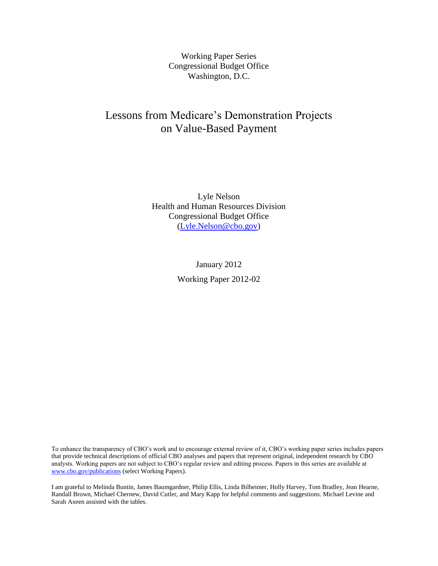Working Paper Series Congressional Budget Office Washington, D.C.

## Lessons from Medicare's Demonstration Projects on Value-Based Payment

Lyle Nelson Health and Human Resources Division Congressional Budget Office [\(Lyle.Nelson@cbo.gov\)](mailto:Lyle.Nelson@cbo.gov)

> January 2012 Working Paper 2012-02

To enhance the transparency of CBO's work and to encourage external review of it, CBO's working paper series includes papers that provide technical descriptions of official CBO analyses and papers that represent original, independent research by CBO analysts. Working papers are not subject to CBO's regular review and editing process. Papers in this series are available at [www.cbo.gov/publications](http://www.cbo.gov/publications) (select Working Papers).

I am grateful to Melinda Buntin, James Baumgardner, Philip Ellis, Linda Bilheimer, Holly Harvey, Tom Bradley, Jean Hearne, Randall Brown, Michael Chernew, David Cutler, and Mary Kapp for helpful comments and suggestions. Michael Levine and Sarah Axeen assisted with the tables.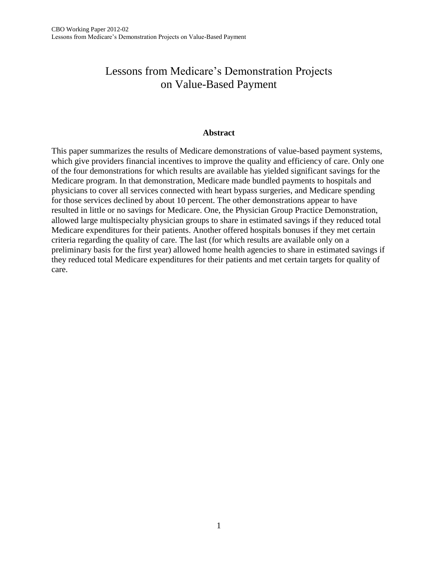# Lessons from Medicare's Demonstration Projects on Value-Based Payment

#### **Abstract**

This paper summarizes the results of Medicare demonstrations of value-based payment systems, which give providers financial incentives to improve the quality and efficiency of care. Only one of the four demonstrations for which results are available has yielded significant savings for the Medicare program. In that demonstration, Medicare made bundled payments to hospitals and physicians to cover all services connected with heart bypass surgeries, and Medicare spending for those services declined by about 10 percent. The other demonstrations appear to have resulted in little or no savings for Medicare. One, the Physician Group Practice Demonstration, allowed large multispecialty physician groups to share in estimated savings if they reduced total Medicare expenditures for their patients. Another offered hospitals bonuses if they met certain criteria regarding the quality of care. The last (for which results are available only on a preliminary basis for the first year) allowed home health agencies to share in estimated savings if they reduced total Medicare expenditures for their patients and met certain targets for quality of care.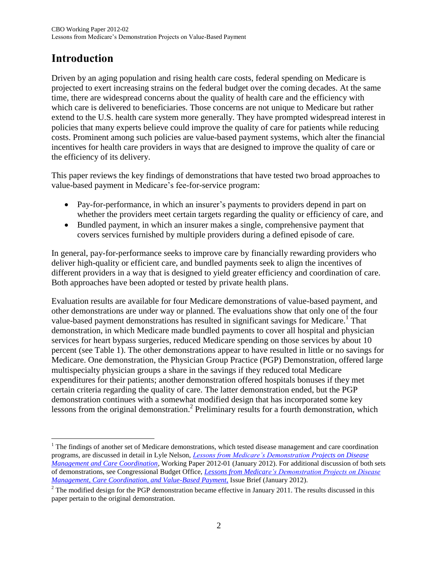# **Introduction**

 $\overline{a}$ 

Driven by an aging population and rising health care costs, federal spending on Medicare is projected to exert increasing strains on the federal budget over the coming decades. At the same time, there are widespread concerns about the quality of health care and the efficiency with which care is delivered to beneficiaries. Those concerns are not unique to Medicare but rather extend to the U.S. health care system more generally. They have prompted widespread interest in policies that many experts believe could improve the quality of care for patients while reducing costs. Prominent among such policies are value-based payment systems, which alter the financial incentives for health care providers in ways that are designed to improve the quality of care or the efficiency of its delivery.

This paper reviews the key findings of demonstrations that have tested two broad approaches to value-based payment in Medicare's fee-for-service program:

- Pay-for-performance, in which an insurer's payments to providers depend in part on whether the providers meet certain targets regarding the quality or efficiency of care, and
- Bundled payment, in which an insurer makes a single, comprehensive payment that covers services furnished by multiple providers during a defined episode of care.

In general, pay-for-performance seeks to improve care by financially rewarding providers who deliver high-quality or efficient care, and bundled payments seek to align the incentives of different providers in a way that is designed to yield greater efficiency and coordination of care. Both approaches have been adopted or tested by private health plans.

Evaluation results are available for four Medicare demonstrations of value-based payment, and other demonstrations are under way or planned. The evaluations show that only one of the four value-based payment demonstrations has resulted in significant savings for Medicare.<sup>1</sup> That demonstration, in which Medicare made bundled payments to cover all hospital and physician services for heart bypass surgeries, reduced Medicare spending on those services by about 10 percent (see Table 1). The other demonstrations appear to have resulted in little or no savings for Medicare. One demonstration, the Physician Group Practice (PGP) Demonstration, offered large multispecialty physician groups a share in the savings if they reduced total Medicare expenditures for their patients; another demonstration offered hospitals bonuses if they met certain criteria regarding the quality of care. The latter demonstration ended, but the PGP demonstration continues with a somewhat modified design that has incorporated some key lessons from the original demonstration.<sup>2</sup> Preliminary results for a fourth demonstration, which

 $<sup>1</sup>$  The findings of another set of Medicare demonstrations, which tested disease management and care coordination</sup> programs, are discussed in detail in Lyle Nelson, *[Lessons from Medicare's Demonstration Projects on Disease](http://www.cbo.gov/doc.cfm?index=12664)  [Management and Care Coordination,](http://www.cbo.gov/doc.cfm?index=12664)* Working Paper 2012-01 (January 2012). For additional discussion of both sets of demonstrations, see Congressional Budget Office, *[Lessons from Medicare's Demonstration Projects on Disease](http://www.cbo.gov/doc.cfm?index=12663)  [Management, Care Coordination, and Value-Based Payment](http://www.cbo.gov/doc.cfm?index=12663)*, Issue Brief (January 2012).

 $2$  The modified design for the PGP demonstration became effective in January 2011. The results discussed in this paper pertain to the original demonstration.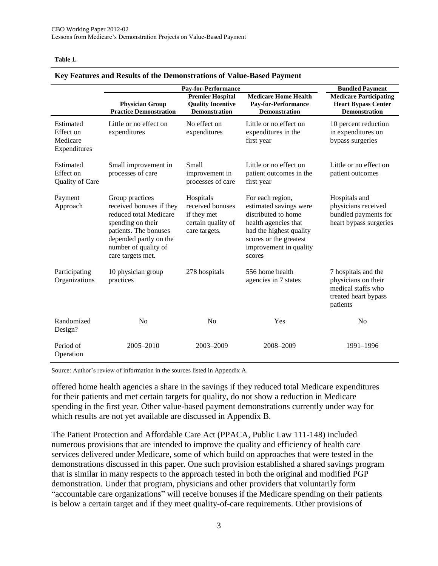#### **Table 1.**

|                                                    |                                                                                                                                                                                            | <b>Bundled Payment</b>                                                                                    |                                                                                                                                                                                    |                                                                                                      |
|----------------------------------------------------|--------------------------------------------------------------------------------------------------------------------------------------------------------------------------------------------|-----------------------------------------------------------------------------------------------------------|------------------------------------------------------------------------------------------------------------------------------------------------------------------------------------|------------------------------------------------------------------------------------------------------|
|                                                    | <b>Physician Group</b><br><b>Practice Demonstration</b>                                                                                                                                    | <b>Pay-for-Performance</b><br><b>Premier Hospital</b><br><b>Quality Incentive</b><br><b>Demonstration</b> | <b>Medicare Home Health</b><br>Pay-for-Performance<br><b>Demonstration</b>                                                                                                         | <b>Medicare Participating</b><br><b>Heart Bypass Center</b><br><b>Demonstration</b>                  |
| Estimated<br>Effect on<br>Medicare<br>Expenditures | Little or no effect on<br>expenditures                                                                                                                                                     | No effect on<br>expenditures                                                                              | Little or no effect on<br>expenditures in the<br>first year                                                                                                                        | 10 percent reduction<br>in expenditures on<br>bypass surgeries                                       |
| Estimated<br>Effect on<br>Quality of Care          | Small improvement in<br>processes of care                                                                                                                                                  | Small<br>improvement in<br>processes of care                                                              | Little or no effect on<br>patient outcomes in the<br>first year                                                                                                                    | Little or no effect on<br>patient outcomes                                                           |
| Payment<br>Approach                                | Group practices<br>received bonuses if they<br>reduced total Medicare<br>spending on their<br>patients. The bonuses<br>depended partly on the<br>number of quality of<br>care targets met. | Hospitals<br>received bonuses<br>if they met<br>certain quality of<br>care targets.                       | For each region,<br>estimated savings were<br>distributed to home<br>health agencies that<br>had the highest quality<br>scores or the greatest<br>improvement in quality<br>scores | Hospitals and<br>physicians received<br>bundled payments for<br>heart bypass surgeries               |
| Participating<br>Organizations                     | 10 physician group<br>practices                                                                                                                                                            | 278 hospitals                                                                                             | 556 home health<br>agencies in 7 states                                                                                                                                            | 7 hospitals and the<br>physicians on their<br>medical staffs who<br>treated heart bypass<br>patients |
| Randomized<br>Design?                              | No                                                                                                                                                                                         | N <sub>o</sub>                                                                                            | Yes                                                                                                                                                                                | N <sub>o</sub>                                                                                       |
| Period of<br>Operation                             | 2005-2010                                                                                                                                                                                  | 2003-2009                                                                                                 | 2008-2009                                                                                                                                                                          | 1991-1996                                                                                            |

#### **Key Features and Results of the Demonstrations of Value-Based Payment**

Source: Author's review of information in the sources listed in Appendix A.

offered home health agencies a share in the savings if they reduced total Medicare expenditures for their patients and met certain targets for quality, do not show a reduction in Medicare spending in the first year. Other value-based payment demonstrations currently under way for which results are not yet available are discussed in Appendix B.

The Patient Protection and Affordable Care Act (PPACA, Public Law 111-148) included numerous provisions that are intended to improve the quality and efficiency of health care services delivered under Medicare, some of which build on approaches that were tested in the demonstrations discussed in this paper. One such provision established a shared savings program that is similar in many respects to the approach tested in both the original and modified PGP demonstration. Under that program, physicians and other providers that voluntarily form "accountable care organizations" will receive bonuses if the Medicare spending on their patients is below a certain target and if they meet quality-of-care requirements. Other provisions of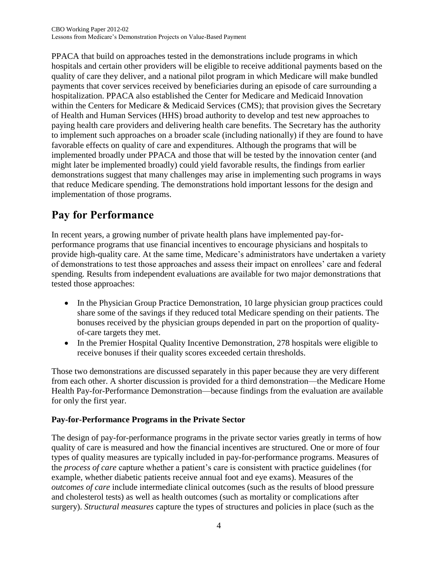PPACA that build on approaches tested in the demonstrations include programs in which hospitals and certain other providers will be eligible to receive additional payments based on the quality of care they deliver, and a national pilot program in which Medicare will make bundled payments that cover services received by beneficiaries during an episode of care surrounding a hospitalization. PPACA also established the Center for Medicare and Medicaid Innovation within the Centers for Medicare & Medicaid Services (CMS); that provision gives the Secretary of Health and Human Services (HHS) broad authority to develop and test new approaches to paying health care providers and delivering health care benefits. The Secretary has the authority to implement such approaches on a broader scale (including nationally) if they are found to have favorable effects on quality of care and expenditures. Although the programs that will be implemented broadly under PPACA and those that will be tested by the innovation center (and might later be implemented broadly) could yield favorable results, the findings from earlier demonstrations suggest that many challenges may arise in implementing such programs in ways that reduce Medicare spending. The demonstrations hold important lessons for the design and implementation of those programs.

# **Pay for Performance**

In recent years, a growing number of private health plans have implemented pay-forperformance programs that use financial incentives to encourage physicians and hospitals to provide high-quality care. At the same time, Medicare's administrators have undertaken a variety of demonstrations to test those approaches and assess their impact on enrollees' care and federal spending. Results from independent evaluations are available for two major demonstrations that tested those approaches:

- In the Physician Group Practice Demonstration, 10 large physician group practices could share some of the savings if they reduced total Medicare spending on their patients. The bonuses received by the physician groups depended in part on the proportion of qualityof-care targets they met.
- In the Premier Hospital Quality Incentive Demonstration, 278 hospitals were eligible to receive bonuses if their quality scores exceeded certain thresholds.

Those two demonstrations are discussed separately in this paper because they are very different from each other. A shorter discussion is provided for a third demonstration—the Medicare Home Health Pay-for-Performance Demonstration—because findings from the evaluation are available for only the first year.

## **Pay-for-Performance Programs in the Private Sector**

The design of pay-for-performance programs in the private sector varies greatly in terms of how quality of care is measured and how the financial incentives are structured. One or more of four types of quality measures are typically included in pay-for-performance programs. Measures of the *process of care* capture whether a patient's care is consistent with practice guidelines (for example, whether diabetic patients receive annual foot and eye exams). Measures of the *outcomes of care* include intermediate clinical outcomes (such as the results of blood pressure and cholesterol tests) as well as health outcomes (such as mortality or complications after surgery). *Structural measures* capture the types of structures and policies in place (such as the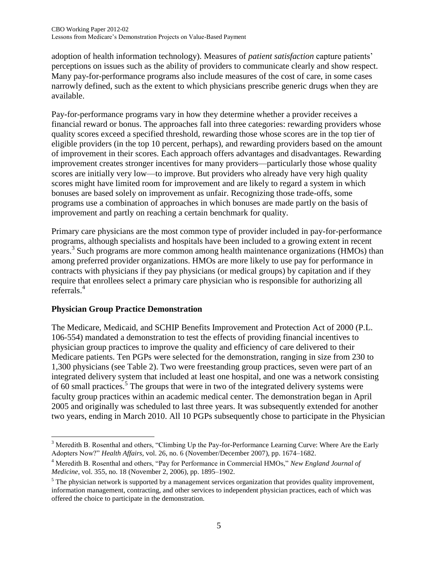adoption of health information technology). Measures of *patient satisfaction* capture patients' perceptions on issues such as the ability of providers to communicate clearly and show respect. Many pay-for-performance programs also include measures of the cost of care, in some cases narrowly defined, such as the extent to which physicians prescribe generic drugs when they are available.

Pay-for-performance programs vary in how they determine whether a provider receives a financial reward or bonus. The approaches fall into three categories: rewarding providers whose quality scores exceed a specified threshold, rewarding those whose scores are in the top tier of eligible providers (in the top 10 percent, perhaps), and rewarding providers based on the amount of improvement in their scores. Each approach offers advantages and disadvantages. Rewarding improvement creates stronger incentives for many providers—particularly those whose quality scores are initially very low—to improve. But providers who already have very high quality scores might have limited room for improvement and are likely to regard a system in which bonuses are based solely on improvement as unfair. Recognizing those trade-offs, some programs use a combination of approaches in which bonuses are made partly on the basis of improvement and partly on reaching a certain benchmark for quality.

Primary care physicians are the most common type of provider included in pay-for-performance programs, although specialists and hospitals have been included to a growing extent in recent years.<sup>3</sup> Such programs are more common among health maintenance organizations (HMOs) than among preferred provider organizations. HMOs are more likely to use pay for performance in contracts with physicians if they pay physicians (or medical groups) by capitation and if they require that enrollees select a primary care physician who is responsible for authorizing all referrals.<sup>4</sup>

### **Physician Group Practice Demonstration**

The Medicare, Medicaid, and SCHIP Benefits Improvement and Protection Act of 2000 (P.L. 106-554) mandated a demonstration to test the effects of providing financial incentives to physician group practices to improve the quality and efficiency of care delivered to their Medicare patients. Ten PGPs were selected for the demonstration, ranging in size from 230 to 1,300 physicians (see Table 2). Two were freestanding group practices, seven were part of an integrated delivery system that included at least one hospital, and one was a network consisting of  $\overline{60}$  small practices.<sup>5</sup> The groups that were in two of the integrated delivery systems were faculty group practices within an academic medical center. The demonstration began in April 2005 and originally was scheduled to last three years. It was subsequently extended for another two years, ending in March 2010. All 10 PGPs subsequently chose to participate in the Physician

 $\overline{a}$ <sup>3</sup> Meredith B. Rosenthal and others, "Climbing Up the Pay-for-Performance Learning Curve: Where Are the Early Adopters Now?" *Health Affairs,* vol. 26, no. 6 (November/December 2007), pp. 1674–1682.

<sup>4</sup> Meredith B. Rosenthal and others, "Pay for Performance in Commercial HMOs," *New England Journal of Medicine*, vol. 355, no. 18 (November 2, 2006), pp. 1895–1902.

 $<sup>5</sup>$  The physician network is supported by a management services organization that provides quality improvement,</sup> information management, contracting, and other services to independent physician practices, each of which was offered the choice to participate in the demonstration.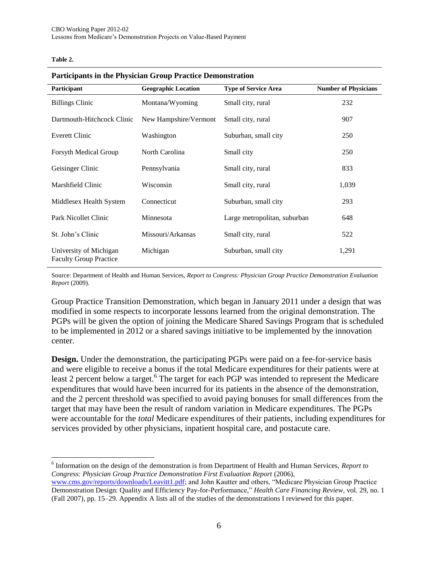#### **Table 2.**

 $\overline{a}$ 

| Participant                                             | <b>Geographic Location</b> | <b>Type of Service Area</b>  | <b>Number of Physicians</b> |
|---------------------------------------------------------|----------------------------|------------------------------|-----------------------------|
| <b>Billings Clinic</b>                                  | Montana/Wyoming            | Small city, rural            | 232                         |
| Dartmouth-Hitchcock Clinic                              | New Hampshire/Vermont      | Small city, rural            | 907                         |
| <b>Everett Clinic</b>                                   | Washington                 | Suburban, small city         | 250                         |
| <b>Forsyth Medical Group</b>                            | North Carolina             | Small city                   | 250                         |
| Geisinger Clinic                                        | Pennsylvania               | Small city, rural            | 833                         |
| Marshfield Clinic                                       | Wisconsin                  | Small city, rural            | 1,039                       |
| Middlesex Health System                                 | Connecticut                | Suburban, small city         | 293                         |
| Park Nicollet Clinic                                    | Minnesota                  | Large metropolitan, suburban | 648                         |
| St. John's Clinic                                       | Missouri/Arkansas          | Small city, rural            | 522                         |
| University of Michigan<br><b>Faculty Group Practice</b> | Michigan                   | Suburban, small city         | 1,291                       |

#### **Participants in the Physician Group Practice Demonstration**

Source: Department of Health and Human Services, *Report to Congress: Physician Group Practice Demonstration Evaluation Report* (2009).

Group Practice Transition Demonstration, which began in January 2011 under a design that was modified in some respects to incorporate lessons learned from the original demonstration. The PGPs will be given the option of joining the Medicare Shared Savings Program that is scheduled to be implemented in 2012 or a shared savings initiative to be implemented by the innovation center.

**Design.** Under the demonstration, the participating PGPs were paid on a fee-for-service basis and were eligible to receive a bonus if the total Medicare expenditures for their patients were at least 2 percent below a target.<sup>6</sup> The target for each PGP was intended to represent the Medicare expenditures that would have been incurred for its patients in the absence of the demonstration, and the 2 percent threshold was specified to avoid paying bonuses for small differences from the target that may have been the result of random variation in Medicare expenditures. The PGPs were accountable for the *total* Medicare expenditures of their patients, including expenditures for services provided by other physicians, inpatient hospital care, and postacute care.

6 Information on the design of the demonstration is from Department of Health and Human Services, *Report to Congress: Physician Group Practice Demonstration First Evaluation Report* (2006),

[www.cms.gov/reports/downloads/Leavitt1.pdf;](http://www.cms.gov/reports/downloads/Leavitt1.pdf) and John Kautter and others, "Medicare Physician Group Practice Demonstration Design: Quality and Efficiency Pay-for-Performance," *Health Care Financing Review*, vol. 29, no. 1 (Fall 2007), pp. 15–29. Appendix A lists all of the studies of the demonstrations I reviewed for this paper.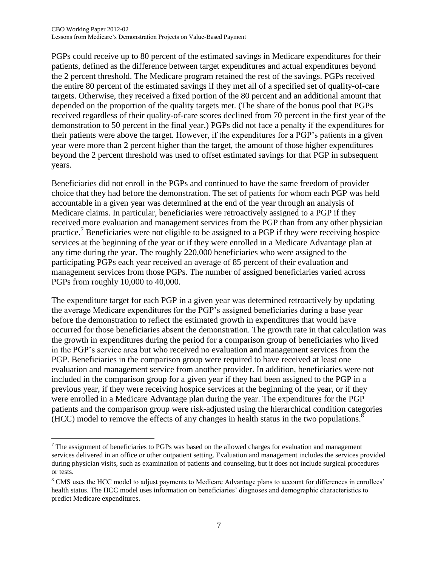PGPs could receive up to 80 percent of the estimated savings in Medicare expenditures for their patients, defined as the difference between target expenditures and actual expenditures beyond the 2 percent threshold. The Medicare program retained the rest of the savings. PGPs received the entire 80 percent of the estimated savings if they met all of a specified set of quality-of-care targets. Otherwise, they received a fixed portion of the 80 percent and an additional amount that depended on the proportion of the quality targets met. (The share of the bonus pool that PGPs received regardless of their quality-of-care scores declined from 70 percent in the first year of the demonstration to 50 percent in the final year.) PGPs did not face a penalty if the expenditures for their patients were above the target. However, if the expenditures for a PGP's patients in a given year were more than 2 percent higher than the target, the amount of those higher expenditures beyond the 2 percent threshold was used to offset estimated savings for that PGP in subsequent years.

Beneficiaries did not enroll in the PGPs and continued to have the same freedom of provider choice that they had before the demonstration. The set of patients for whom each PGP was held accountable in a given year was determined at the end of the year through an analysis of Medicare claims. In particular, beneficiaries were retroactively assigned to a PGP if they received more evaluation and management services from the PGP than from any other physician practice.<sup>7</sup> Beneficiaries were not eligible to be assigned to a PGP if they were receiving hospice services at the beginning of the year or if they were enrolled in a Medicare Advantage plan at any time during the year. The roughly 220,000 beneficiaries who were assigned to the participating PGPs each year received an average of 85 percent of their evaluation and management services from those PGPs. The number of assigned beneficiaries varied across PGPs from roughly 10,000 to 40,000.

The expenditure target for each PGP in a given year was determined retroactively by updating the average Medicare expenditures for the PGP's assigned beneficiaries during a base year before the demonstration to reflect the estimated growth in expenditures that would have occurred for those beneficiaries absent the demonstration. The growth rate in that calculation was the growth in expenditures during the period for a comparison group of beneficiaries who lived in the PGP's service area but who received no evaluation and management services from the PGP. Beneficiaries in the comparison group were required to have received at least one evaluation and management service from another provider. In addition, beneficiaries were not included in the comparison group for a given year if they had been assigned to the PGP in a previous year, if they were receiving hospice services at the beginning of the year, or if they were enrolled in a Medicare Advantage plan during the year. The expenditures for the PGP patients and the comparison group were risk-adjusted using the hierarchical condition categories (HCC) model to remove the effects of any changes in health status in the two populations.<sup>8</sup>

 $7$  The assignment of beneficiaries to PGPs was based on the allowed charges for evaluation and management services delivered in an office or other outpatient setting. Evaluation and management includes the services provided during physician visits, such as examination of patients and counseling, but it does not include surgical procedures or tests.

<sup>&</sup>lt;sup>8</sup> CMS uses the HCC model to adjust payments to Medicare Advantage plans to account for differences in enrollees' health status. The HCC model uses information on beneficiaries' diagnoses and demographic characteristics to predict Medicare expenditures.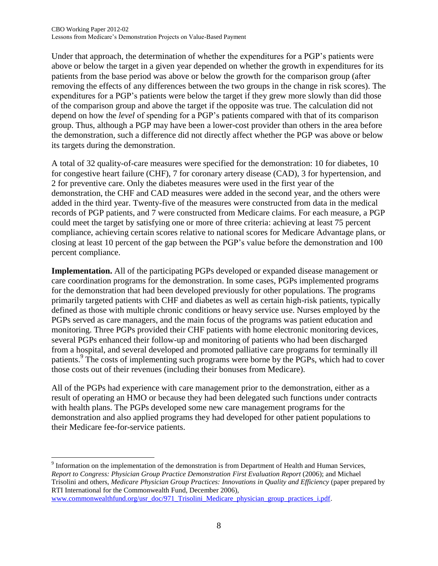Under that approach, the determination of whether the expenditures for a PGP's patients were above or below the target in a given year depended on whether the growth in expenditures for its patients from the base period was above or below the growth for the comparison group (after removing the effects of any differences between the two groups in the change in risk scores). The expenditures for a PGP's patients were below the target if they grew more slowly than did those of the comparison group and above the target if the opposite was true. The calculation did not depend on how the *level* of spending for a PGP's patients compared with that of its comparison group. Thus, although a PGP may have been a lower-cost provider than others in the area before the demonstration, such a difference did not directly affect whether the PGP was above or below its targets during the demonstration.

A total of 32 quality-of-care measures were specified for the demonstration: 10 for diabetes, 10 for congestive heart failure (CHF), 7 for coronary artery disease (CAD), 3 for hypertension, and 2 for preventive care. Only the diabetes measures were used in the first year of the demonstration, the CHF and CAD measures were added in the second year, and the others were added in the third year. Twenty-five of the measures were constructed from data in the medical records of PGP patients, and 7 were constructed from Medicare claims. For each measure, a PGP could meet the target by satisfying one or more of three criteria: achieving at least 75 percent compliance, achieving certain scores relative to national scores for Medicare Advantage plans, or closing at least 10 percent of the gap between the PGP's value before the demonstration and 100 percent compliance.

**Implementation.** All of the participating PGPs developed or expanded disease management or care coordination programs for the demonstration. In some cases, PGPs implemented programs for the demonstration that had been developed previously for other populations. The programs primarily targeted patients with CHF and diabetes as well as certain high-risk patients, typically defined as those with multiple chronic conditions or heavy service use. Nurses employed by the PGPs served as care managers, and the main focus of the programs was patient education and monitoring. Three PGPs provided their CHF patients with home electronic monitoring devices, several PGPs enhanced their follow-up and monitoring of patients who had been discharged from a hospital, and several developed and promoted palliative care programs for terminally ill patients.<sup>9</sup> The costs of implementing such programs were borne by the PGPs, which had to cover those costs out of their revenues (including their bonuses from Medicare).

All of the PGPs had experience with care management prior to the demonstration, either as a result of operating an HMO or because they had been delegated such functions under contracts with health plans. The PGPs developed some new care management programs for the demonstration and also applied programs they had developed for other patient populations to their Medicare fee-for-service patients.

 $\overline{a}$  $9$  Information on the implementation of the demonstration is from Department of Health and Human Services, *Report to Congress: Physician Group Practice Demonstration First Evaluation Report* (2006); and Michael Trisolini and others, *Medicare Physician Group Practices: Innovations in Quality and Efficiency* (paper prepared by RTI International for the Commonwealth Fund, December 2006),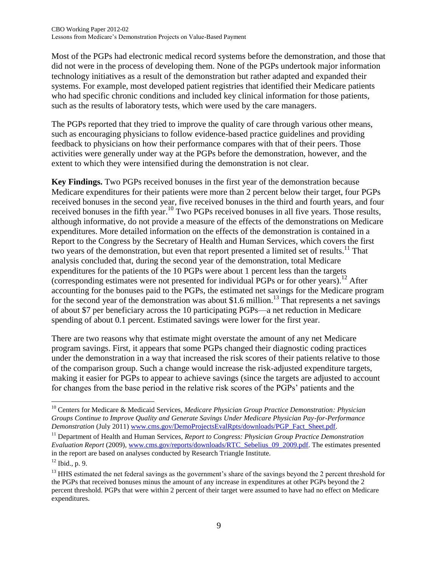Most of the PGPs had electronic medical record systems before the demonstration, and those that did not were in the process of developing them. None of the PGPs undertook major information technology initiatives as a result of the demonstration but rather adapted and expanded their systems. For example, most developed patient registries that identified their Medicare patients who had specific chronic conditions and included key clinical information for those patients, such as the results of laboratory tests, which were used by the care managers.

The PGPs reported that they tried to improve the quality of care through various other means, such as encouraging physicians to follow evidence-based practice guidelines and providing feedback to physicians on how their performance compares with that of their peers. Those activities were generally under way at the PGPs before the demonstration, however, and the extent to which they were intensified during the demonstration is not clear.

**Key Findings.** Two PGPs received bonuses in the first year of the demonstration because Medicare expenditures for their patients were more than 2 percent below their target, four PGPs received bonuses in the second year, five received bonuses in the third and fourth years, and four received bonuses in the fifth year.<sup>10</sup> Two PGPs received bonuses in all five years. Those results, although informative, do not provide a measure of the effects of the demonstrations on Medicare expenditures. More detailed information on the effects of the demonstration is contained in a Report to the Congress by the Secretary of Health and Human Services, which covers the first two years of the demonstration, but even that report presented a limited set of results.<sup>11</sup> That analysis concluded that, during the second year of the demonstration, total Medicare expenditures for the patients of the 10 PGPs were about 1 percent less than the targets (corresponding estimates were not presented for individual PGPs or for other years).<sup>12</sup> After accounting for the bonuses paid to the PGPs, the estimated net savings for the Medicare program for the second year of the demonstration was about \$1.6 million.<sup>13</sup> That represents a net savings of about \$7 per beneficiary across the 10 participating PGPs—a net reduction in Medicare spending of about 0.1 percent. Estimated savings were lower for the first year.

There are two reasons why that estimate might overstate the amount of any net Medicare program savings. First, it appears that some PGPs changed their diagnostic coding practices under the demonstration in a way that increased the risk scores of their patients relative to those of the comparison group. Such a change would increase the risk-adjusted expenditure targets, making it easier for PGPs to appear to achieve savings (since the targets are adjusted to account for changes from the base period in the relative risk scores of the PGPs' patients and the

 $\overline{a}$ <sup>10</sup> Centers for Medicare & Medicaid Services, *Medicare Physician Group Practice Demonstration: Physician Groups Continue to Improve Quality and Generate Savings Under Medicare Physician Pay-for-Performance Demonstration* (July 2011) [www.cms.gov/DemoProjectsEvalRpts/downloads/PGP\\_Fact\\_Sheet.pdf.](https://www.cms.gov/DemoProjectsEvalRpts/downloads/PGP_Fact_Sheet.pdf)

<sup>&</sup>lt;sup>11</sup> Department of Health and Human Services, *Report to Congress: Physician Group Practice Demonstration Evaluation Report* (2009), [www.cms.gov/reports/downloads/RTC\\_Sebelius\\_09\\_2009.pdf.](https://www.cms.gov/reports/downloads/RTC_Sebelius_09_2009.pdf) The estimates presented in the report are based on analyses conducted by Research Triangle Institute.

<sup>12</sup> Ibid., p. 9.

<sup>&</sup>lt;sup>13</sup> HHS estimated the net federal savings as the government's share of the savings beyond the 2 percent threshold for the PGPs that received bonuses minus the amount of any increase in expenditures at other PGPs beyond the 2 percent threshold. PGPs that were within 2 percent of their target were assumed to have had no effect on Medicare expenditures.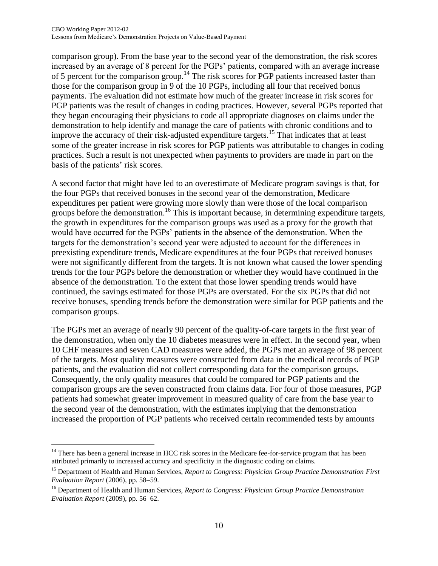comparison group). From the base year to the second year of the demonstration, the risk scores increased by an average of 8 percent for the PGPs' patients, compared with an average increase of 5 percent for the comparison group.<sup>14</sup> The risk scores for PGP patients increased faster than those for the comparison group in 9 of the 10 PGPs, including all four that received bonus payments. The evaluation did not estimate how much of the greater increase in risk scores for PGP patients was the result of changes in coding practices. However, several PGPs reported that they began encouraging their physicians to code all appropriate diagnoses on claims under the demonstration to help identify and manage the care of patients with chronic conditions and to improve the accuracy of their risk-adjusted expenditure targets.<sup>15</sup> That indicates that at least some of the greater increase in risk scores for PGP patients was attributable to changes in coding practices. Such a result is not unexpected when payments to providers are made in part on the basis of the patients' risk scores.

A second factor that might have led to an overestimate of Medicare program savings is that, for the four PGPs that received bonuses in the second year of the demonstration, Medicare expenditures per patient were growing more slowly than were those of the local comparison groups before the demonstration.<sup>16</sup> This is important because, in determining expenditure targets, the growth in expenditures for the comparison groups was used as a proxy for the growth that would have occurred for the PGPs' patients in the absence of the demonstration. When the targets for the demonstration's second year were adjusted to account for the differences in preexisting expenditure trends, Medicare expenditures at the four PGPs that received bonuses were not significantly different from the targets. It is not known what caused the lower spending trends for the four PGPs before the demonstration or whether they would have continued in the absence of the demonstration. To the extent that those lower spending trends would have continued, the savings estimated for those PGPs are overstated. For the six PGPs that did not receive bonuses, spending trends before the demonstration were similar for PGP patients and the comparison groups.

The PGPs met an average of nearly 90 percent of the quality-of-care targets in the first year of the demonstration, when only the 10 diabetes measures were in effect. In the second year, when 10 CHF measures and seven CAD measures were added, the PGPs met an average of 98 percent of the targets. Most quality measures were constructed from data in the medical records of PGP patients, and the evaluation did not collect corresponding data for the comparison groups. Consequently, the only quality measures that could be compared for PGP patients and the comparison groups are the seven constructed from claims data. For four of those measures, PGP patients had somewhat greater improvement in measured quality of care from the base year to the second year of the demonstration, with the estimates implying that the demonstration increased the proportion of PGP patients who received certain recommended tests by amounts

<sup>&</sup>lt;sup>14</sup> There has been a general increase in HCC risk scores in the Medicare fee-for-service program that has been attributed primarily to increased accuracy and specificity in the diagnostic coding on claims.

<sup>15</sup> Department of Health and Human Services, *Report to Congress: Physician Group Practice Demonstration First Evaluation Report* (2006), pp. 58–59.

<sup>16</sup> Department of Health and Human Services, *Report to Congress: Physician Group Practice Demonstration Evaluation Report* (2009), pp. 56–62.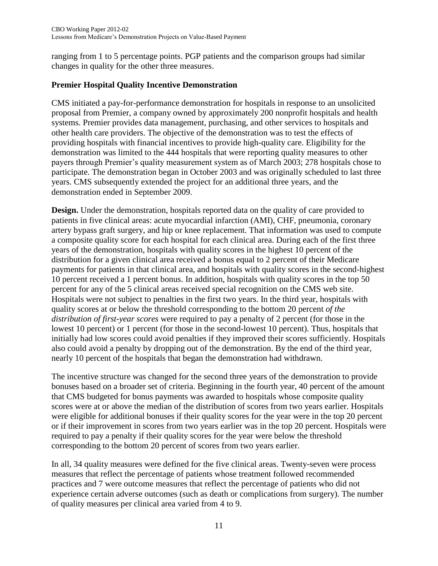ranging from 1 to 5 percentage points. PGP patients and the comparison groups had similar changes in quality for the other three measures.

### **Premier Hospital Quality Incentive Demonstration**

CMS initiated a pay-for-performance demonstration for hospitals in response to an unsolicited proposal from Premier, a company owned by approximately 200 nonprofit hospitals and health systems. Premier provides data management, purchasing, and other services to hospitals and other health care providers. The objective of the demonstration was to test the effects of providing hospitals with financial incentives to provide high-quality care. Eligibility for the demonstration was limited to the 444 hospitals that were reporting quality measures to other payers through Premier's quality measurement system as of March 2003; 278 hospitals chose to participate. The demonstration began in October 2003 and was originally scheduled to last three years. CMS subsequently extended the project for an additional three years, and the demonstration ended in September 2009.

**Design.** Under the demonstration, hospitals reported data on the quality of care provided to patients in five clinical areas: acute myocardial infarction (AMI), CHF, pneumonia, coronary artery bypass graft surgery, and hip or knee replacement. That information was used to compute a composite quality score for each hospital for each clinical area. During each of the first three years of the demonstration, hospitals with quality scores in the highest 10 percent of the distribution for a given clinical area received a bonus equal to 2 percent of their Medicare payments for patients in that clinical area, and hospitals with quality scores in the second-highest 10 percent received a 1 percent bonus. In addition, hospitals with quality scores in the top 50 percent for any of the 5 clinical areas received special recognition on the CMS web site. Hospitals were not subject to penalties in the first two years. In the third year, hospitals with quality scores at or below the threshold corresponding to the bottom 20 percent *of the distribution of first-year scores* were required to pay a penalty of 2 percent (for those in the lowest 10 percent) or 1 percent (for those in the second-lowest 10 percent). Thus, hospitals that initially had low scores could avoid penalties if they improved their scores sufficiently. Hospitals also could avoid a penalty by dropping out of the demonstration. By the end of the third year, nearly 10 percent of the hospitals that began the demonstration had withdrawn.

The incentive structure was changed for the second three years of the demonstration to provide bonuses based on a broader set of criteria. Beginning in the fourth year, 40 percent of the amount that CMS budgeted for bonus payments was awarded to hospitals whose composite quality scores were at or above the median of the distribution of scores from two years earlier. Hospitals were eligible for additional bonuses if their quality scores for the year were in the top 20 percent or if their improvement in scores from two years earlier was in the top 20 percent. Hospitals were required to pay a penalty if their quality scores for the year were below the threshold corresponding to the bottom 20 percent of scores from two years earlier.

In all, 34 quality measures were defined for the five clinical areas. Twenty-seven were process measures that reflect the percentage of patients whose treatment followed recommended practices and 7 were outcome measures that reflect the percentage of patients who did not experience certain adverse outcomes (such as death or complications from surgery). The number of quality measures per clinical area varied from 4 to 9.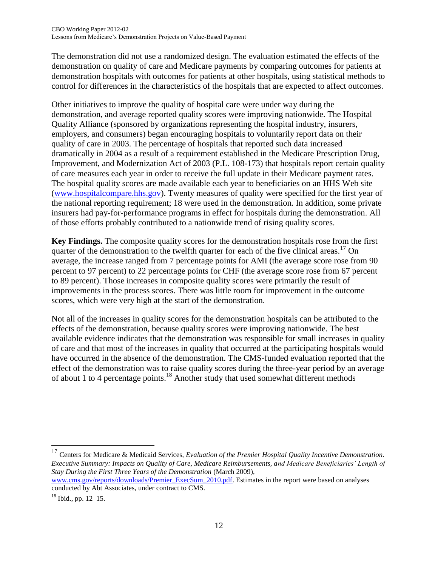The demonstration did not use a randomized design. The evaluation estimated the effects of the demonstration on quality of care and Medicare payments by comparing outcomes for patients at demonstration hospitals with outcomes for patients at other hospitals, using statistical methods to control for differences in the characteristics of the hospitals that are expected to affect outcomes.

Other initiatives to improve the quality of hospital care were under way during the demonstration, and average reported quality scores were improving nationwide. The Hospital Quality Alliance (sponsored by organizations representing the hospital industry, insurers, employers, and consumers) began encouraging hospitals to voluntarily report data on their quality of care in 2003. The percentage of hospitals that reported such data increased dramatically in 2004 as a result of a requirement established in the Medicare Prescription Drug, Improvement, and Modernization Act of 2003 (P.L. 108-173) that hospitals report certain quality of care measures each year in order to receive the full update in their Medicare payment rates. The hospital quality scores are made available each year to beneficiaries on an HHS Web site [\(www.hospitalcompare.hhs.gov\)](http://www.hospitalcompare.hhs.gov/). Twenty measures of quality were specified for the first year of the national reporting requirement; 18 were used in the demonstration. In addition, some private insurers had pay-for-performance programs in effect for hospitals during the demonstration. All of those efforts probably contributed to a nationwide trend of rising quality scores.

**Key Findings.** The composite quality scores for the demonstration hospitals rose from the first quarter of the demonstration to the twelfth quarter for each of the five clinical areas.<sup>17</sup> On average, the increase ranged from 7 percentage points for AMI (the average score rose from 90 percent to 97 percent) to 22 percentage points for CHF (the average score rose from 67 percent to 89 percent). Those increases in composite quality scores were primarily the result of improvements in the process scores. There was little room for improvement in the outcome scores, which were very high at the start of the demonstration.

Not all of the increases in quality scores for the demonstration hospitals can be attributed to the effects of the demonstration, because quality scores were improving nationwide. The best available evidence indicates that the demonstration was responsible for small increases in quality of care and that most of the increases in quality that occurred at the participating hospitals would have occurred in the absence of the demonstration. The CMS-funded evaluation reported that the effect of the demonstration was to raise quality scores during the three-year period by an average of about 1 to 4 percentage points.<sup>18</sup> Another study that used somewhat different methods

<sup>17</sup> Centers for Medicare & Medicaid Services, *Evaluation of the Premier Hospital Quality Incentive Demonstration. Executive Summary: Impacts on Quality of Care, Medicare Reimbursements, and Medicare Beneficiaries' Length of Stay During the First Three Years of the Demonstration* (March 2009),

[www.cms.gov/reports/downloads/Premier\\_ExecSum\\_2010.pdf.](https://www.cms.gov/reports/downloads/Premier_ExecSum_2010.pdf) Estimates in the report were based on analyses conducted by Abt Associates, under contract to CMS.

 $18$  Ibid., pp.  $12-15$ .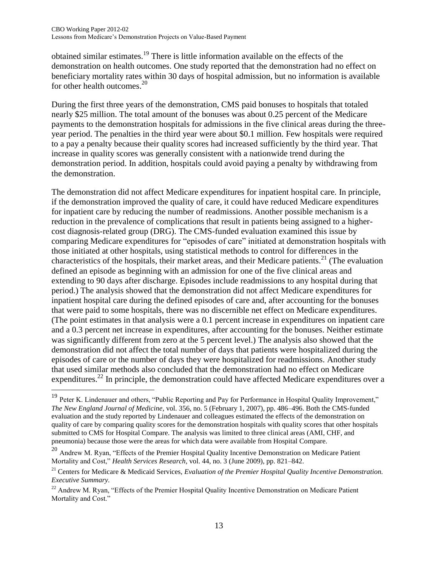$\overline{a}$ 

obtained similar estimates.<sup>19</sup> There is little information available on the effects of the demonstration on health outcomes. One study reported that the demonstration had no effect on beneficiary mortality rates within 30 days of hospital admission, but no information is available for other health outcomes.<sup>20</sup>

During the first three years of the demonstration, CMS paid bonuses to hospitals that totaled nearly \$25 million. The total amount of the bonuses was about 0.25 percent of the Medicare payments to the demonstration hospitals for admissions in the five clinical areas during the threeyear period. The penalties in the third year were about \$0.1 million. Few hospitals were required to a pay a penalty because their quality scores had increased sufficiently by the third year. That increase in quality scores was generally consistent with a nationwide trend during the demonstration period. In addition, hospitals could avoid paying a penalty by withdrawing from the demonstration.

The demonstration did not affect Medicare expenditures for inpatient hospital care. In principle, if the demonstration improved the quality of care, it could have reduced Medicare expenditures for inpatient care by reducing the number of readmissions. Another possible mechanism is a reduction in the prevalence of complications that result in patients being assigned to a highercost diagnosis-related group (DRG). The CMS-funded evaluation examined this issue by comparing Medicare expenditures for "episodes of care" initiated at demonstration hospitals with those initiated at other hospitals, using statistical methods to control for differences in the characteristics of the hospitals, their market areas, and their Medicare patients.<sup>21</sup> (The evaluation defined an episode as beginning with an admission for one of the five clinical areas and extending to 90 days after discharge. Episodes include readmissions to any hospital during that period.) The analysis showed that the demonstration did not affect Medicare expenditures for inpatient hospital care during the defined episodes of care and, after accounting for the bonuses that were paid to some hospitals, there was no discernible net effect on Medicare expenditures. (The point estimates in that analysis were a 0.1 percent increase in expenditures on inpatient care and a 0.3 percent net increase in expenditures, after accounting for the bonuses. Neither estimate was significantly different from zero at the 5 percent level.) The analysis also showed that the demonstration did not affect the total number of days that patients were hospitalized during the episodes of care or the number of days they were hospitalized for readmissions. Another study that used similar methods also concluded that the demonstration had no effect on Medicare expenditures.<sup>22</sup> In principle, the demonstration could have affected Medicare expenditures over a

<sup>&</sup>lt;sup>19</sup> Peter K. Lindenauer and others, "Public Reporting and Pay for Performance in Hospital Quality Improvement," *The New England Journal of Medicine*, vol. 356, no. 5 (February 1, 2007), pp. 486–496. Both the CMS-funded evaluation and the study reported by Lindenauer and colleagues estimated the effects of the demonstration on quality of care by comparing quality scores for the demonstration hospitals with quality scores that other hospitals submitted to CMS for Hospital Compare. The analysis was limited to three clinical areas (AMI, CHF, and pneumonia) because those were the areas for which data were available from Hospital Compare.

 $^{20}$  Andrew M. Ryan, "Effects of the Premier Hospital Quality Incentive Demonstration on Medicare Patient Mortality and Cost," *Health Services Research*, vol. 44, no. 3 (June 2009), pp. 821–842.

<sup>21</sup> Centers for Medicare & Medicaid Services, *Evaluation of the Premier Hospital Quality Incentive Demonstration. Executive Summary.*

<sup>&</sup>lt;sup>22</sup> Andrew M. Ryan, "Effects of the Premier Hospital Quality Incentive Demonstration on Medicare Patient Mortality and Cost."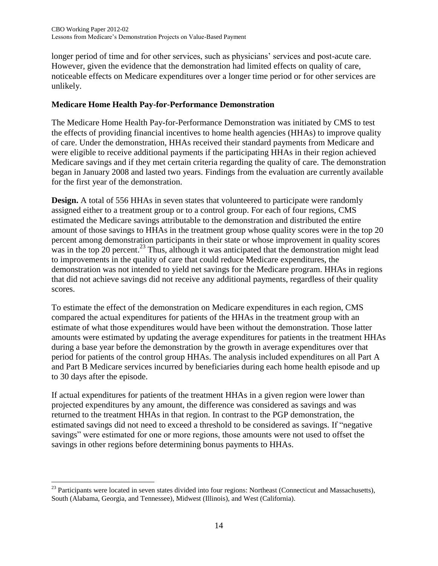longer period of time and for other services, such as physicians' services and post-acute care. However, given the evidence that the demonstration had limited effects on quality of care, noticeable effects on Medicare expenditures over a longer time period or for other services are unlikely.

## **Medicare Home Health Pay-for-Performance Demonstration**

The Medicare Home Health Pay-for-Performance Demonstration was initiated by CMS to test the effects of providing financial incentives to home health agencies (HHAs) to improve quality of care. Under the demonstration, HHAs received their standard payments from Medicare and were eligible to receive additional payments if the participating HHAs in their region achieved Medicare savings and if they met certain criteria regarding the quality of care. The demonstration began in January 2008 and lasted two years. Findings from the evaluation are currently available for the first year of the demonstration.

**Design.** A total of 556 HHAs in seven states that volunteered to participate were randomly assigned either to a treatment group or to a control group. For each of four regions, CMS estimated the Medicare savings attributable to the demonstration and distributed the entire amount of those savings to HHAs in the treatment group whose quality scores were in the top 20 percent among demonstration participants in their state or whose improvement in quality scores was in the top 20 percent.<sup>23</sup> Thus, although it was anticipated that the demonstration might lead to improvements in the quality of care that could reduce Medicare expenditures, the demonstration was not intended to yield net savings for the Medicare program. HHAs in regions that did not achieve savings did not receive any additional payments, regardless of their quality scores.

To estimate the effect of the demonstration on Medicare expenditures in each region, CMS compared the actual expenditures for patients of the HHAs in the treatment group with an estimate of what those expenditures would have been without the demonstration. Those latter amounts were estimated by updating the average expenditures for patients in the treatment HHAs during a base year before the demonstration by the growth in average expenditures over that period for patients of the control group HHAs. The analysis included expenditures on all Part A and Part B Medicare services incurred by beneficiaries during each home health episode and up to 30 days after the episode.

If actual expenditures for patients of the treatment HHAs in a given region were lower than projected expenditures by any amount, the difference was considered as savings and was returned to the treatment HHAs in that region. In contrast to the PGP demonstration, the estimated savings did not need to exceed a threshold to be considered as savings. If "negative savings" were estimated for one or more regions, those amounts were not used to offset the savings in other regions before determining bonus payments to HHAs.

<sup>&</sup>lt;sup>23</sup> Participants were located in seven states divided into four regions: Northeast (Connecticut and Massachusetts), South (Alabama, Georgia, and Tennessee), Midwest (Illinois), and West (California).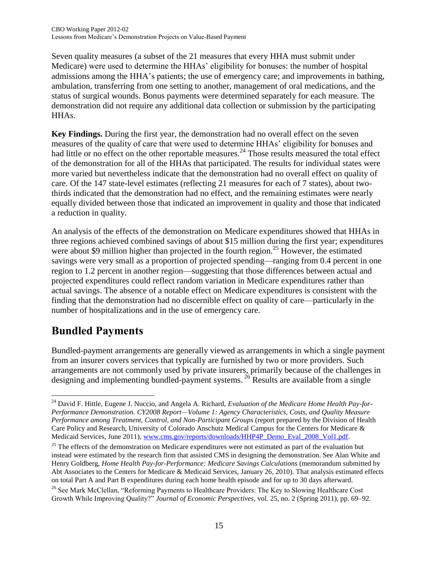Seven quality measures (a subset of the 21 measures that every HHA must submit under Medicare) were used to determine the HHAs' eligibility for bonuses: the number of hospital admissions among the HHA's patients; the use of emergency care; and improvements in bathing, ambulation, transferring from one setting to another, management of oral medications, and the status of surgical wounds. Bonus payments were determined separately for each measure. The demonstration did not require any additional data collection or submission by the participating HHAs.

**Key Findings.** During the first year, the demonstration had no overall effect on the seven measures of the quality of care that were used to determine HHAs' eligibility for bonuses and had little or no effect on the other reportable measures.<sup>24</sup> Those results measured the total effect of the demonstration for all of the HHAs that participated. The results for individual states were more varied but nevertheless indicate that the demonstration had no overall effect on quality of care. Of the 147 state-level estimates (reflecting 21 measures for each of 7 states), about twothirds indicated that the demonstration had no effect, and the remaining estimates were nearly equally divided between those that indicated an improvement in quality and those that indicated a reduction in quality.

An analysis of the effects of the demonstration on Medicare expenditures showed that HHAs in three regions achieved combined savings of about \$15 million during the first year; expenditures were about \$9 million higher than projected in the fourth region.<sup>25</sup> However, the estimated savings were very small as a proportion of projected spending—ranging from 0.4 percent in one region to 1.2 percent in another region—suggesting that those differences between actual and projected expenditures could reflect random variation in Medicare expenditures rather than actual savings. The absence of a notable effect on Medicare expenditures is consistent with the finding that the demonstration had no discernible effect on quality of care—particularly in the number of hospitalizations and in the use of emergency care.

# **Bundled Payments**

 $\overline{a}$ 

Bundled-payment arrangements are generally viewed as arrangements in which a single payment from an insurer covers services that typically are furnished by two or more providers. Such arrangements are not commonly used by private insurers, primarily because of the challenges in designing and implementing bundled-payment systems. <sup>26</sup> Results are available from a single

<sup>&</sup>lt;sup>24</sup> David F. Hittle, Eugene J. Nuccio, and Angela A. Richard, *Evaluation of the Medicare Home Health Pay-for-Performance Demonstration. CY2008 Report—Volume 1: Agency Characteristics, Costs, and Quality Measure Performance among Treatment, Control, and Non-Participant Groups* (report prepared by the Division of Health Care Policy and Research, University of Colorado Anschutz Medical Campus for the Centers for Medicare & Medicaid Services, June 2011), [www.cms.gov/reports/downloads/HHP4P\\_Demo\\_Eval\\_2008\\_Vol1.pdf.](https://www.cms.gov/reports/downloads/HHP4P_Demo_Eval_2008_Vol1.pdf)

<sup>&</sup>lt;sup>25</sup> The effects of the demonstration on Medicare expenditures were not estimated as part of the evaluation but instead were estimated by the research firm that assisted CMS in designing the demonstration. See Alan White and Henry Goldberg, *Home Health Pay-for-Performance: Medicare Savings Calculations* (memorandum submitted by Abt Associates to the Centers for Medicare & Medicaid Services, January 26, 2010). That analysis estimated effects on total Part A and Part B expenditures during each home health episode and for up to 30 days afterward.

<sup>&</sup>lt;sup>26</sup> See Mark McClellan, "Reforming Payments to Healthcare Providers: The Key to Slowing Healthcare Cost Growth While Improving Quality?" *Journal of Economic Perspectives*, vol. 25, no. 2 (Spring 2011), pp. 69–92.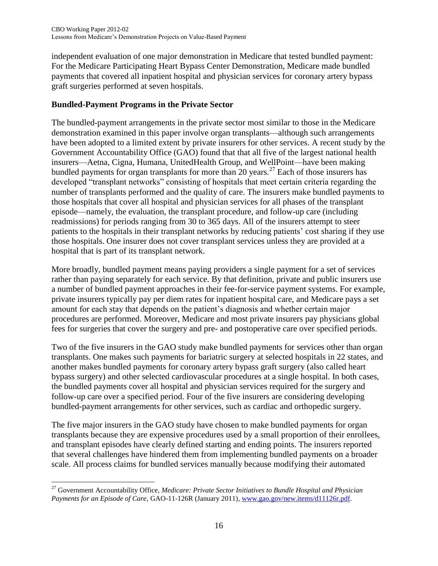independent evaluation of one major demonstration in Medicare that tested bundled payment: For the Medicare Participating Heart Bypass Center Demonstration, Medicare made bundled payments that covered all inpatient hospital and physician services for coronary artery bypass graft surgeries performed at seven hospitals.

### **Bundled-Payment Programs in the Private Sector**

The bundled-payment arrangements in the private sector most similar to those in the Medicare demonstration examined in this paper involve organ transplants—although such arrangements have been adopted to a limited extent by private insurers for other services. A recent study by the Government Accountability Office (GAO) found that that all five of the largest national health insurers—Aetna, Cigna, Humana, UnitedHealth Group, and WellPoint—have been making bundled payments for organ transplants for more than 20 years.<sup>27</sup> Each of those insurers has developed "transplant networks" consisting of hospitals that meet certain criteria regarding the number of transplants performed and the quality of care. The insurers make bundled payments to those hospitals that cover all hospital and physician services for all phases of the transplant episode—namely, the evaluation, the transplant procedure, and follow-up care (including readmissions) for periods ranging from 30 to 365 days. All of the insurers attempt to steer patients to the hospitals in their transplant networks by reducing patients' cost sharing if they use those hospitals. One insurer does not cover transplant services unless they are provided at a hospital that is part of its transplant network.

More broadly, bundled payment means paying providers a single payment for a set of services rather than paying separately for each service. By that definition, private and public insurers use a number of bundled payment approaches in their fee-for-service payment systems. For example, private insurers typically pay per diem rates for inpatient hospital care, and Medicare pays a set amount for each stay that depends on the patient's diagnosis and whether certain major procedures are performed. Moreover, Medicare and most private insurers pay physicians global fees for surgeries that cover the surgery and pre- and postoperative care over specified periods.

Two of the five insurers in the GAO study make bundled payments for services other than organ transplants. One makes such payments for bariatric surgery at selected hospitals in 22 states, and another makes bundled payments for coronary artery bypass graft surgery (also called heart bypass surgery) and other selected cardiovascular procedures at a single hospital. In both cases, the bundled payments cover all hospital and physician services required for the surgery and follow-up care over a specified period. Four of the five insurers are considering developing bundled-payment arrangements for other services, such as cardiac and orthopedic surgery.

The five major insurers in the GAO study have chosen to make bundled payments for organ transplants because they are expensive procedures used by a small proportion of their enrollees, and transplant episodes have clearly defined starting and ending points. The insurers reported that several challenges have hindered them from implementing bundled payments on a broader scale. All process claims for bundled services manually because modifying their automated

 $\overline{a}$ <sup>27</sup> Government Accountability Office, *Medicare: Private Sector Initiatives to Bundle Hospital and Physician Payments for an Episode of Care*, GAO-11-126R (January 2011), [www.gao.gov/new.items/d11126r.pdf.](http://www.gao.gov/new.items/d11126r.pdf)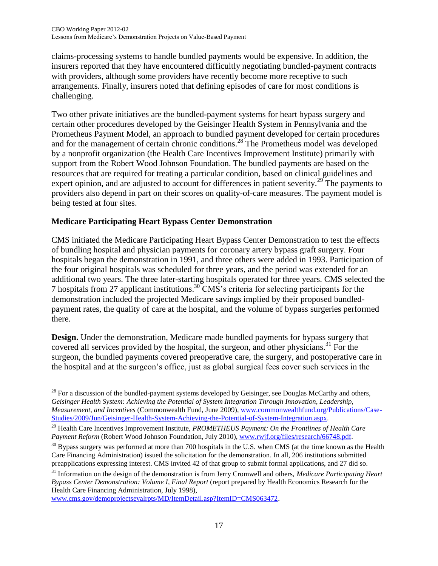claims-processing systems to handle bundled payments would be expensive. In addition, the insurers reported that they have encountered difficultly negotiating bundled-payment contracts with providers, although some providers have recently become more receptive to such arrangements. Finally, insurers noted that defining episodes of care for most conditions is challenging.

Two other private initiatives are the bundled-payment systems for heart bypass surgery and certain other procedures developed by the Geisinger Health System in Pennsylvania and the Prometheus Payment Model, an approach to bundled payment developed for certain procedures and for the management of certain chronic conditions.<sup>28</sup> The Prometheus model was developed by a nonprofit organization (the Health Care Incentives Improvement Institute) primarily with support from the Robert Wood Johnson Foundation. The bundled payments are based on the resources that are required for treating a particular condition, based on clinical guidelines and expert opinion, and are adjusted to account for differences in patient severity.<sup>29</sup> The payments to providers also depend in part on their scores on quality-of-care measures. The payment model is being tested at four sites.

## **Medicare Participating Heart Bypass Center Demonstration**

CMS initiated the Medicare Participating Heart Bypass Center Demonstration to test the effects of bundling hospital and physician payments for coronary artery bypass graft surgery. Four hospitals began the demonstration in 1991, and three others were added in 1993. Participation of the four original hospitals was scheduled for three years, and the period was extended for an additional two years. The three later-starting hospitals operated for three years. CMS selected the 7 hospitals from 27 applicant institutions.<sup>30</sup> CMS's criteria for selecting participants for the demonstration included the projected Medicare savings implied by their proposed bundledpayment rates, the quality of care at the hospital, and the volume of bypass surgeries performed there.

**Design.** Under the demonstration, Medicare made bundled payments for bypass surgery that covered all services provided by the hospital, the surgeon, and other physicians.<sup>31</sup> For the surgeon, the bundled payments covered preoperative care, the surgery, and postoperative care in the hospital and at the surgeon's office, just as global surgical fees cover such services in the

<sup>31</sup> Information on the design of the demonstration is from Jerry Cromwell and others, *Medicare Participating Heart Bypass Center Demonstration: Volume I, Final Report* (report prepared by Health Economics Research for the Health Care Financing Administration, July 1998),

[www.cms.gov/demoprojectsevalrpts/MD/ItemDetail.asp?ItemID=CMS063472.](http://www.cms.gov/demoprojectsevalrpts/MD/ItemDetail.asp?ItemID=CMS063472)

<sup>&</sup>lt;sup>28</sup> For a discussion of the bundled-payment systems developed by Geisinger, see Douglas McCarthy and others, *Geisinger Health System: Achieving the Potential of System Integration Through Innovation, Leadership, Measurement, and Incentives* (Commonwealth Fund, June 2009)[, www.commonwealthfund.org/Publications/Case-](http://www.commonwealthfund.org/Publications/Case-Studies/2009/Jun/Geisinger-Health-System-Achieving-the-Potential-of-System-Integration.aspx)[Studies/2009/Jun/Geisinger-Health-System-Achieving-the-Potential-of-System-Integration.aspx.](http://www.commonwealthfund.org/Publications/Case-Studies/2009/Jun/Geisinger-Health-System-Achieving-the-Potential-of-System-Integration.aspx)

<sup>29</sup> Health Care Incentives Improvement Institute, *PROMETHEUS Payment: On the Frontlines of Health Care Payment Reform* (Robert Wood Johnson Foundation, July 2010)[, www.rwjf.org/files/research/66748.pdf.](http://www.rwjf.org/files/research/66748.pdf)

 $30$  Bypass surgery was performed at more than 700 hospitals in the U.S. when CMS (at the time known as the Health Care Financing Administration) issued the solicitation for the demonstration. In all, 206 institutions submitted preapplications expressing interest. CMS invited 42 of that group to submit formal applications, and 27 did so.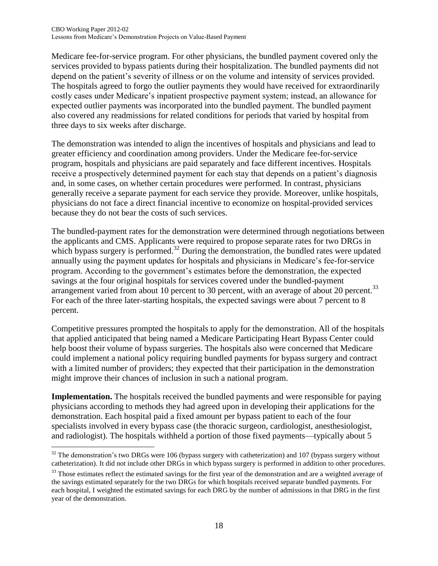Medicare fee-for-service program. For other physicians, the bundled payment covered only the services provided to bypass patients during their hospitalization. The bundled payments did not depend on the patient's severity of illness or on the volume and intensity of services provided. The hospitals agreed to forgo the outlier payments they would have received for extraordinarily costly cases under Medicare's inpatient prospective payment system; instead, an allowance for expected outlier payments was incorporated into the bundled payment. The bundled payment also covered any readmissions for related conditions for periods that varied by hospital from three days to six weeks after discharge.

The demonstration was intended to align the incentives of hospitals and physicians and lead to greater efficiency and coordination among providers. Under the Medicare fee-for-service program, hospitals and physicians are paid separately and face different incentives. Hospitals receive a prospectively determined payment for each stay that depends on a patient's diagnosis and, in some cases, on whether certain procedures were performed. In contrast, physicians generally receive a separate payment for each service they provide. Moreover, unlike hospitals, physicians do not face a direct financial incentive to economize on hospital-provided services because they do not bear the costs of such services.

The bundled-payment rates for the demonstration were determined through negotiations between the applicants and CMS. Applicants were required to propose separate rates for two DRGs in which bypass surgery is performed.<sup>32</sup> During the demonstration, the bundled rates were updated annually using the payment updates for hospitals and physicians in Medicare's fee-for-service program. According to the government's estimates before the demonstration, the expected savings at the four original hospitals for services covered under the bundled-payment arrangement varied from about 10 percent to 30 percent, with an average of about 20 percent.<sup>33</sup> For each of the three later-starting hospitals, the expected savings were about 7 percent to 8 percent.

Competitive pressures prompted the hospitals to apply for the demonstration. All of the hospitals that applied anticipated that being named a Medicare Participating Heart Bypass Center could help boost their volume of bypass surgeries. The hospitals also were concerned that Medicare could implement a national policy requiring bundled payments for bypass surgery and contract with a limited number of providers; they expected that their participation in the demonstration might improve their chances of inclusion in such a national program.

**Implementation.** The hospitals received the bundled payments and were responsible for paying physicians according to methods they had agreed upon in developing their applications for the demonstration. Each hospital paid a fixed amount per bypass patient to each of the four specialists involved in every bypass case (the thoracic surgeon, cardiologist, anesthesiologist, and radiologist). The hospitals withheld a portion of those fixed payments—typically about 5

 $32$  The demonstration's two DRGs were 106 (bypass surgery with catheterization) and 107 (bypass surgery without catheterization). It did not include other DRGs in which bypass surgery is performed in addition to other procedures.

<sup>&</sup>lt;sup>33</sup> Those estimates reflect the estimated savings for the first year of the demonstration and are a weighted average of the savings estimated separately for the two DRGs for which hospitals received separate bundled payments. For each hospital, I weighted the estimated savings for each DRG by the number of admissions in that DRG in the first year of the demonstration.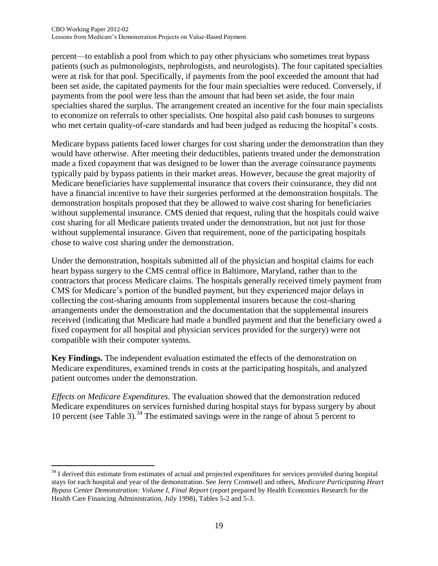percent—to establish a pool from which to pay other physicians who sometimes treat bypass patients (such as pulmonologists, nephrologists, and neurologists). The four capitated specialties were at risk for that pool. Specifically, if payments from the pool exceeded the amount that had been set aside, the capitated payments for the four main specialties were reduced. Conversely, if payments from the pool were less than the amount that had been set aside, the four main specialties shared the surplus. The arrangement created an incentive for the four main specialists to economize on referrals to other specialists. One hospital also paid cash bonuses to surgeons who met certain quality-of-care standards and had been judged as reducing the hospital's costs.

Medicare bypass patients faced lower charges for cost sharing under the demonstration than they would have otherwise. After meeting their deductibles, patients treated under the demonstration made a fixed copayment that was designed to be lower than the average coinsurance payments typically paid by bypass patients in their market areas. However, because the great majority of Medicare beneficiaries have supplemental insurance that covers their coinsurance, they did not have a financial incentive to have their surgeries performed at the demonstration hospitals. The demonstration hospitals proposed that they be allowed to waive cost sharing for beneficiaries without supplemental insurance. CMS denied that request, ruling that the hospitals could waive cost sharing for all Medicare patients treated under the demonstration, but not just for those without supplemental insurance. Given that requirement, none of the participating hospitals chose to waive cost sharing under the demonstration.

Under the demonstration, hospitals submitted all of the physician and hospital claims for each heart bypass surgery to the CMS central office in Baltimore, Maryland, rather than to the contractors that process Medicare claims. The hospitals generally received timely payment from CMS for Medicare's portion of the bundled payment, but they experienced major delays in collecting the cost-sharing amounts from supplemental insurers because the cost-sharing arrangements under the demonstration and the documentation that the supplemental insurers received (indicating that Medicare had made a bundled payment and that the beneficiary owed a fixed copayment for all hospital and physician services provided for the surgery) were not compatible with their computer systems.

**Key Findings.** The independent evaluation estimated the effects of the demonstration on Medicare expenditures, examined trends in costs at the participating hospitals, and analyzed patient outcomes under the demonstration.

*Effects on Medicare Expenditures.* The evaluation showed that the demonstration reduced Medicare expenditures on services furnished during hospital stays for bypass surgery by about 10 percent (see Table 3).<sup>34</sup> The estimated savings were in the range of about 5 percent to

 $\overline{a}$ <sup>34</sup> I derived this estimate from estimates of actual and projected expenditures for services provided during hospital stays for each hospital and year of the demonstration. See Jerry Cromwell and others, *Medicare Participating Heart Bypass Center Demonstration: Volume I, Final Report* (report prepared by Health Economics Research for the Health Care Financing Administration, July 1998), Tables 5-2 and 5-3.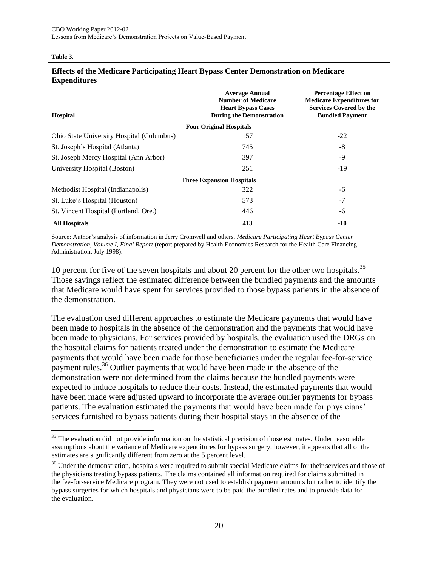#### **Table 3.**

 $\overline{a}$ 

| <b>Hospital</b>                           | <b>Average Annual</b><br><b>Number of Medicare</b><br><b>Heart Bypass Cases</b><br><b>During the Demonstration</b> | <b>Percentage Effect on</b><br><b>Medicare Expenditures for</b><br><b>Services Covered by the</b><br><b>Bundled Payment</b> |  |  |  |  |
|-------------------------------------------|--------------------------------------------------------------------------------------------------------------------|-----------------------------------------------------------------------------------------------------------------------------|--|--|--|--|
| <b>Four Original Hospitals</b>            |                                                                                                                    |                                                                                                                             |  |  |  |  |
| Ohio State University Hospital (Columbus) | 157                                                                                                                | $-22$                                                                                                                       |  |  |  |  |
| St. Joseph's Hospital (Atlanta)           | 745                                                                                                                | -8                                                                                                                          |  |  |  |  |
| St. Joseph Mercy Hospital (Ann Arbor)     | 397                                                                                                                | $-9$                                                                                                                        |  |  |  |  |
| University Hospital (Boston)              | 251                                                                                                                | $-19$                                                                                                                       |  |  |  |  |
| <b>Three Expansion Hospitals</b>          |                                                                                                                    |                                                                                                                             |  |  |  |  |
| Methodist Hospital (Indianapolis)         | 322                                                                                                                | -6                                                                                                                          |  |  |  |  |
| St. Luke's Hospital (Houston)             | 573                                                                                                                | $-7$                                                                                                                        |  |  |  |  |
| St. Vincent Hospital (Portland, Ore.)     | 446                                                                                                                | -6                                                                                                                          |  |  |  |  |
| <b>All Hospitals</b>                      | 413                                                                                                                | $-10$                                                                                                                       |  |  |  |  |

#### **Effects of the Medicare Participating Heart Bypass Center Demonstration on Medicare Expenditures**

Source: Author's analysis of information in Jerry Cromwell and others, *Medicare Participating Heart Bypass Center Demonstration, Volume I, Final Report* (report prepared by Health Economics Research for the Health Care Financing Administration, July 1998).

10 percent for five of the seven hospitals and about 20 percent for the other two hospitals.<sup>35</sup> Those savings reflect the estimated difference between the bundled payments and the amounts that Medicare would have spent for services provided to those bypass patients in the absence of the demonstration.

The evaluation used different approaches to estimate the Medicare payments that would have been made to hospitals in the absence of the demonstration and the payments that would have been made to physicians. For services provided by hospitals, the evaluation used the DRGs on the hospital claims for patients treated under the demonstration to estimate the Medicare payments that would have been made for those beneficiaries under the regular fee-for-service payment rules.<sup>36</sup> Outlier payments that would have been made in the absence of the demonstration were not determined from the claims because the bundled payments were expected to induce hospitals to reduce their costs. Instead, the estimated payments that would have been made were adjusted upward to incorporate the average outlier payments for bypass patients. The evaluation estimated the payments that would have been made for physicians' services furnished to bypass patients during their hospital stays in the absence of the

<sup>&</sup>lt;sup>35</sup> The evaluation did not provide information on the statistical precision of those estimates. Under reasonable assumptions about the variance of Medicare expenditures for bypass surgery, however, it appears that all of the estimates are significantly different from zero at the 5 percent level.

<sup>&</sup>lt;sup>36</sup> Under the demonstration, hospitals were required to submit special Medicare claims for their services and those of the physicians treating bypass patients. The claims contained all information required for claims submitted in the fee-for-service Medicare program. They were not used to establish payment amounts but rather to identify the bypass surgeries for which hospitals and physicians were to be paid the bundled rates and to provide data for the evaluation.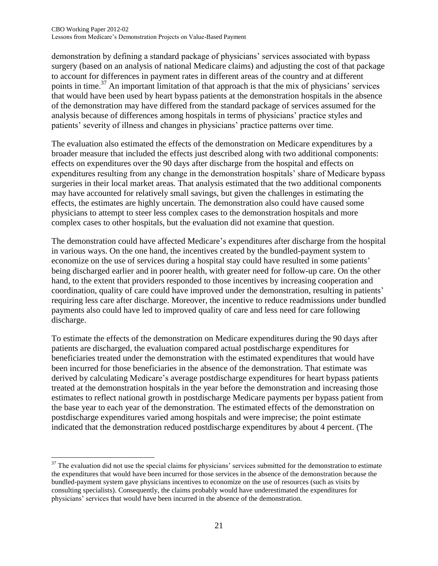demonstration by defining a standard package of physicians' services associated with bypass surgery (based on an analysis of national Medicare claims) and adjusting the cost of that package to account for differences in payment rates in different areas of the country and at different points in time.<sup>37</sup> An important limitation of that approach is that the mix of physicians' services that would have been used by heart bypass patients at the demonstration hospitals in the absence of the demonstration may have differed from the standard package of services assumed for the analysis because of differences among hospitals in terms of physicians' practice styles and patients' severity of illness and changes in physicians' practice patterns over time.

The evaluation also estimated the effects of the demonstration on Medicare expenditures by a broader measure that included the effects just described along with two additional components: effects on expenditures over the 90 days after discharge from the hospital and effects on expenditures resulting from any change in the demonstration hospitals' share of Medicare bypass surgeries in their local market areas. That analysis estimated that the two additional components may have accounted for relatively small savings, but given the challenges in estimating the effects, the estimates are highly uncertain. The demonstration also could have caused some physicians to attempt to steer less complex cases to the demonstration hospitals and more complex cases to other hospitals, but the evaluation did not examine that question.

The demonstration could have affected Medicare's expenditures after discharge from the hospital in various ways. On the one hand, the incentives created by the bundled-payment system to economize on the use of services during a hospital stay could have resulted in some patients' being discharged earlier and in poorer health, with greater need for follow-up care. On the other hand, to the extent that providers responded to those incentives by increasing cooperation and coordination, quality of care could have improved under the demonstration, resulting in patients' requiring less care after discharge. Moreover, the incentive to reduce readmissions under bundled payments also could have led to improved quality of care and less need for care following discharge.

To estimate the effects of the demonstration on Medicare expenditures during the 90 days after patients are discharged, the evaluation compared actual postdischarge expenditures for beneficiaries treated under the demonstration with the estimated expenditures that would have been incurred for those beneficiaries in the absence of the demonstration. That estimate was derived by calculating Medicare's average postdischarge expenditures for heart bypass patients treated at the demonstration hospitals in the year before the demonstration and increasing those estimates to reflect national growth in postdischarge Medicare payments per bypass patient from the base year to each year of the demonstration. The estimated effects of the demonstration on postdischarge expenditures varied among hospitals and were imprecise; the point estimate indicated that the demonstration reduced postdischarge expenditures by about 4 percent. (The

 $\overline{a}$  $37$  The evaluation did not use the special claims for physicians' services submitted for the demonstration to estimate the expenditures that would have been incurred for those services in the absence of the demonstration because the bundled-payment system gave physicians incentives to economize on the use of resources (such as visits by consulting specialists). Consequently, the claims probably would have underestimated the expenditures for physicians' services that would have been incurred in the absence of the demonstration.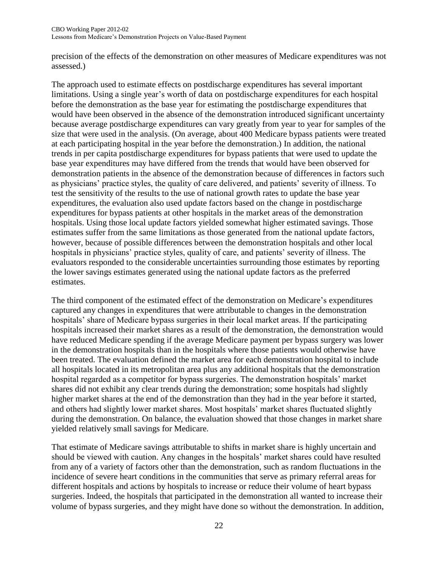precision of the effects of the demonstration on other measures of Medicare expenditures was not assessed.)

The approach used to estimate effects on postdischarge expenditures has several important limitations. Using a single year's worth of data on postdischarge expenditures for each hospital before the demonstration as the base year for estimating the postdischarge expenditures that would have been observed in the absence of the demonstration introduced significant uncertainty because average postdischarge expenditures can vary greatly from year to year for samples of the size that were used in the analysis. (On average, about 400 Medicare bypass patients were treated at each participating hospital in the year before the demonstration.) In addition, the national trends in per capita postdischarge expenditures for bypass patients that were used to update the base year expenditures may have differed from the trends that would have been observed for demonstration patients in the absence of the demonstration because of differences in factors such as physicians' practice styles, the quality of care delivered, and patients' severity of illness. To test the sensitivity of the results to the use of national growth rates to update the base year expenditures, the evaluation also used update factors based on the change in postdischarge expenditures for bypass patients at other hospitals in the market areas of the demonstration hospitals. Using those local update factors yielded somewhat higher estimated savings. Those estimates suffer from the same limitations as those generated from the national update factors, however, because of possible differences between the demonstration hospitals and other local hospitals in physicians' practice styles, quality of care, and patients' severity of illness. The evaluators responded to the considerable uncertainties surrounding those estimates by reporting the lower savings estimates generated using the national update factors as the preferred estimates.

The third component of the estimated effect of the demonstration on Medicare's expenditures captured any changes in expenditures that were attributable to changes in the demonstration hospitals' share of Medicare bypass surgeries in their local market areas. If the participating hospitals increased their market shares as a result of the demonstration, the demonstration would have reduced Medicare spending if the average Medicare payment per bypass surgery was lower in the demonstration hospitals than in the hospitals where those patients would otherwise have been treated. The evaluation defined the market area for each demonstration hospital to include all hospitals located in its metropolitan area plus any additional hospitals that the demonstration hospital regarded as a competitor for bypass surgeries. The demonstration hospitals' market shares did not exhibit any clear trends during the demonstration; some hospitals had slightly higher market shares at the end of the demonstration than they had in the year before it started, and others had slightly lower market shares. Most hospitals' market shares fluctuated slightly during the demonstration. On balance, the evaluation showed that those changes in market share yielded relatively small savings for Medicare.

That estimate of Medicare savings attributable to shifts in market share is highly uncertain and should be viewed with caution. Any changes in the hospitals' market shares could have resulted from any of a variety of factors other than the demonstration, such as random fluctuations in the incidence of severe heart conditions in the communities that serve as primary referral areas for different hospitals and actions by hospitals to increase or reduce their volume of heart bypass surgeries. Indeed, the hospitals that participated in the demonstration all wanted to increase their volume of bypass surgeries, and they might have done so without the demonstration. In addition,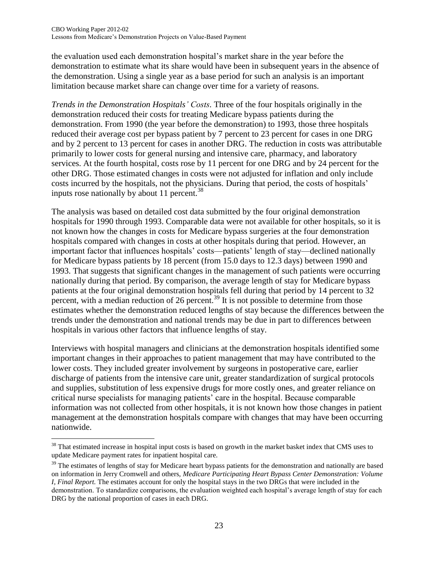the evaluation used each demonstration hospital's market share in the year before the demonstration to estimate what its share would have been in subsequent years in the absence of the demonstration. Using a single year as a base period for such an analysis is an important limitation because market share can change over time for a variety of reasons.

*Trends in the Demonstration Hospitals' Costs.* Three of the four hospitals originally in the demonstration reduced their costs for treating Medicare bypass patients during the demonstration. From 1990 (the year before the demonstration) to 1993, those three hospitals reduced their average cost per bypass patient by 7 percent to 23 percent for cases in one DRG and by 2 percent to 13 percent for cases in another DRG. The reduction in costs was attributable primarily to lower costs for general nursing and intensive care, pharmacy, and laboratory services. At the fourth hospital, costs rose by 11 percent for one DRG and by 24 percent for the other DRG. Those estimated changes in costs were not adjusted for inflation and only include costs incurred by the hospitals, not the physicians. During that period, the costs of hospitals' inputs rose nationally by about 11 percent.<sup>38</sup>

The analysis was based on detailed cost data submitted by the four original demonstration hospitals for 1990 through 1993. Comparable data were not available for other hospitals, so it is not known how the changes in costs for Medicare bypass surgeries at the four demonstration hospitals compared with changes in costs at other hospitals during that period. However, an important factor that influences hospitals' costs—patients' length of stay—declined nationally for Medicare bypass patients by 18 percent (from 15.0 days to 12.3 days) between 1990 and 1993. That suggests that significant changes in the management of such patients were occurring nationally during that period. By comparison, the average length of stay for Medicare bypass patients at the four original demonstration hospitals fell during that period by 14 percent to 32 percent, with a median reduction of 26 percent.<sup>39</sup> It is not possible to determine from those estimates whether the demonstration reduced lengths of stay because the differences between the trends under the demonstration and national trends may be due in part to differences between hospitals in various other factors that influence lengths of stay.

Interviews with hospital managers and clinicians at the demonstration hospitals identified some important changes in their approaches to patient management that may have contributed to the lower costs. They included greater involvement by surgeons in postoperative care, earlier discharge of patients from the intensive care unit, greater standardization of surgical protocols and supplies, substitution of less expensive drugs for more costly ones, and greater reliance on critical nurse specialists for managing patients' care in the hospital. Because comparable information was not collected from other hospitals, it is not known how those changes in patient management at the demonstration hospitals compare with changes that may have been occurring nationwide.

<sup>&</sup>lt;sup>38</sup> That estimated increase in hospital input costs is based on growth in the market basket index that CMS uses to update Medicare payment rates for inpatient hospital care.

<sup>&</sup>lt;sup>39</sup> The estimates of lengths of stay for Medicare heart bypass patients for the demonstration and nationally are based on information in Jerry Cromwell and others, *Medicare Participating Heart Bypass Center Demonstration: Volume I, Final Report.* The estimates account for only the hospital stays in the two DRGs that were included in the demonstration. To standardize comparisons, the evaluation weighted each hospital's average length of stay for each DRG by the national proportion of cases in each DRG.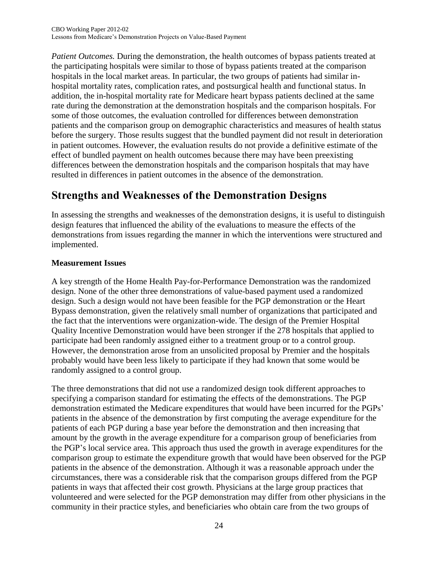*Patient Outcomes.* During the demonstration, the health outcomes of bypass patients treated at the participating hospitals were similar to those of bypass patients treated at the comparison hospitals in the local market areas. In particular, the two groups of patients had similar inhospital mortality rates, complication rates, and postsurgical health and functional status. In addition, the in-hospital mortality rate for Medicare heart bypass patients declined at the same rate during the demonstration at the demonstration hospitals and the comparison hospitals. For some of those outcomes, the evaluation controlled for differences between demonstration patients and the comparison group on demographic characteristics and measures of health status before the surgery. Those results suggest that the bundled payment did not result in deterioration in patient outcomes. However, the evaluation results do not provide a definitive estimate of the effect of bundled payment on health outcomes because there may have been preexisting differences between the demonstration hospitals and the comparison hospitals that may have resulted in differences in patient outcomes in the absence of the demonstration.

# **Strengths and Weaknesses of the Demonstration Designs**

In assessing the strengths and weaknesses of the demonstration designs, it is useful to distinguish design features that influenced the ability of the evaluations to measure the effects of the demonstrations from issues regarding the manner in which the interventions were structured and implemented.

### **Measurement Issues**

A key strength of the Home Health Pay-for-Performance Demonstration was the randomized design. None of the other three demonstrations of value-based payment used a randomized design. Such a design would not have been feasible for the PGP demonstration or the Heart Bypass demonstration, given the relatively small number of organizations that participated and the fact that the interventions were organization-wide. The design of the Premier Hospital Quality Incentive Demonstration would have been stronger if the 278 hospitals that applied to participate had been randomly assigned either to a treatment group or to a control group. However, the demonstration arose from an unsolicited proposal by Premier and the hospitals probably would have been less likely to participate if they had known that some would be randomly assigned to a control group.

The three demonstrations that did not use a randomized design took different approaches to specifying a comparison standard for estimating the effects of the demonstrations. The PGP demonstration estimated the Medicare expenditures that would have been incurred for the PGPs' patients in the absence of the demonstration by first computing the average expenditure for the patients of each PGP during a base year before the demonstration and then increasing that amount by the growth in the average expenditure for a comparison group of beneficiaries from the PGP's local service area. This approach thus used the growth in average expenditures for the comparison group to estimate the expenditure growth that would have been observed for the PGP patients in the absence of the demonstration. Although it was a reasonable approach under the circumstances, there was a considerable risk that the comparison groups differed from the PGP patients in ways that affected their cost growth. Physicians at the large group practices that volunteered and were selected for the PGP demonstration may differ from other physicians in the community in their practice styles, and beneficiaries who obtain care from the two groups of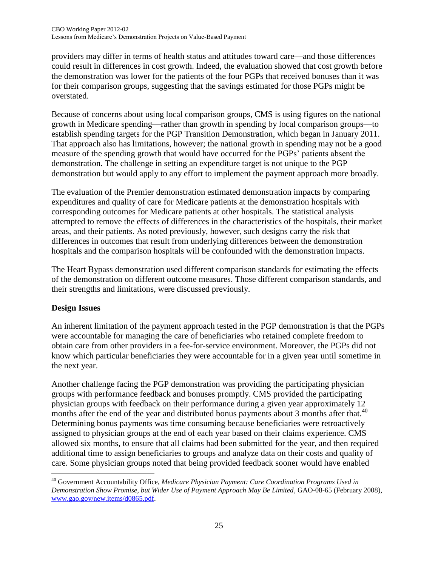providers may differ in terms of health status and attitudes toward care—and those differences could result in differences in cost growth. Indeed, the evaluation showed that cost growth before the demonstration was lower for the patients of the four PGPs that received bonuses than it was for their comparison groups, suggesting that the savings estimated for those PGPs might be overstated.

Because of concerns about using local comparison groups, CMS is using figures on the national growth in Medicare spending—rather than growth in spending by local comparison groups—to establish spending targets for the PGP Transition Demonstration, which began in January 2011. That approach also has limitations, however; the national growth in spending may not be a good measure of the spending growth that would have occurred for the PGPs' patients absent the demonstration. The challenge in setting an expenditure target is not unique to the PGP demonstration but would apply to any effort to implement the payment approach more broadly.

The evaluation of the Premier demonstration estimated demonstration impacts by comparing expenditures and quality of care for Medicare patients at the demonstration hospitals with corresponding outcomes for Medicare patients at other hospitals. The statistical analysis attempted to remove the effects of differences in the characteristics of the hospitals, their market areas, and their patients. As noted previously, however, such designs carry the risk that differences in outcomes that result from underlying differences between the demonstration hospitals and the comparison hospitals will be confounded with the demonstration impacts.

The Heart Bypass demonstration used different comparison standards for estimating the effects of the demonstration on different outcome measures. Those different comparison standards, and their strengths and limitations, were discussed previously.

## **Design Issues**

 $\overline{a}$ 

An inherent limitation of the payment approach tested in the PGP demonstration is that the PGPs were accountable for managing the care of beneficiaries who retained complete freedom to obtain care from other providers in a fee-for-service environment. Moreover, the PGPs did not know which particular beneficiaries they were accountable for in a given year until sometime in the next year.

Another challenge facing the PGP demonstration was providing the participating physician groups with performance feedback and bonuses promptly. CMS provided the participating physician groups with feedback on their performance during a given year approximately 12 months after the end of the year and distributed bonus payments about 3 months after that.<sup>40</sup> Determining bonus payments was time consuming because beneficiaries were retroactively assigned to physician groups at the end of each year based on their claims experience. CMS allowed six months, to ensure that all claims had been submitted for the year, and then required additional time to assign beneficiaries to groups and analyze data on their costs and quality of care. Some physician groups noted that being provided feedback sooner would have enabled

<sup>40</sup> Government Accountability Office, *Medicare Physician Payment: Care Coordination Programs Used in Demonstration Show Promise, but Wider Use of Payment Approach May Be Limited*, GAO-08-65 (February 2008), [www.gao.gov/new.items/d0865.pdf.](http://www.gao.gov/new.items/d0865.pdf)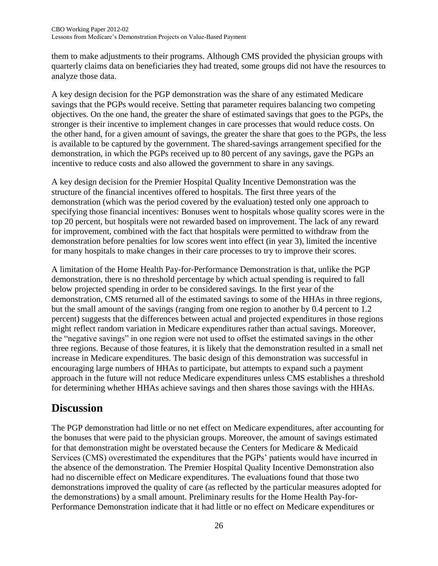them to make adjustments to their programs. Although CMS provided the physician groups with quarterly claims data on beneficiaries they had treated, some groups did not have the resources to analyze those data.

A key design decision for the PGP demonstration was the share of any estimated Medicare savings that the PGPs would receive. Setting that parameter requires balancing two competing objectives. On the one hand, the greater the share of estimated savings that goes to the PGPs, the stronger is their incentive to implement changes in care processes that would reduce costs. On the other hand, for a given amount of savings, the greater the share that goes to the PGPs, the less is available to be captured by the government. The shared-savings arrangement specified for the demonstration, in which the PGPs received up to 80 percent of any savings, gave the PGPs an incentive to reduce costs and also allowed the government to share in any savings.

A key design decision for the Premier Hospital Quality Incentive Demonstration was the structure of the financial incentives offered to hospitals. The first three years of the demonstration (which was the period covered by the evaluation) tested only one approach to specifying those financial incentives: Bonuses went to hospitals whose quality scores were in the top 20 percent, but hospitals were not rewarded based on improvement. The lack of any reward for improvement, combined with the fact that hospitals were permitted to withdraw from the demonstration before penalties for low scores went into effect (in year 3), limited the incentive for many hospitals to make changes in their care processes to try to improve their scores.

A limitation of the Home Health Pay-for-Performance Demonstration is that, unlike the PGP demonstration, there is no threshold percentage by which actual spending is required to fall below projected spending in order to be considered savings. In the first year of the demonstration, CMS returned all of the estimated savings to some of the HHAs in three regions, but the small amount of the savings (ranging from one region to another by 0.4 percent to 1.2 percent) suggests that the differences between actual and projected expenditures in those regions might reflect random variation in Medicare expenditures rather than actual savings. Moreover, the "negative savings" in one region were not used to offset the estimated savings in the other three regions. Because of those features, it is likely that the demonstration resulted in a small net increase in Medicare expenditures. The basic design of this demonstration was successful in encouraging large numbers of HHAs to participate, but attempts to expand such a payment approach in the future will not reduce Medicare expenditures unless CMS establishes a threshold for determining whether HHAs achieve savings and then shares those savings with the HHAs.

# **Discussion**

The PGP demonstration had little or no net effect on Medicare expenditures, after accounting for the bonuses that were paid to the physician groups. Moreover, the amount of savings estimated for that demonstration might be overstated because the Centers for Medicare & Medicaid Services (CMS) overestimated the expenditures that the PGPs' patients would have incurred in the absence of the demonstration. The Premier Hospital Quality Incentive Demonstration also had no discernible effect on Medicare expenditures. The evaluations found that those two demonstrations improved the quality of care (as reflected by the particular measures adopted for the demonstrations) by a small amount. Preliminary results for the Home Health Pay-for-Performance Demonstration indicate that it had little or no effect on Medicare expenditures or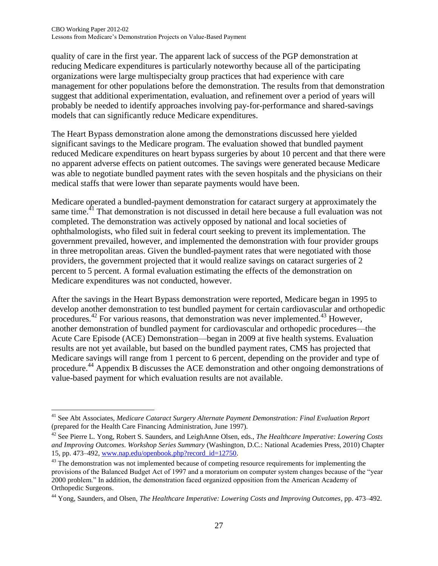quality of care in the first year. The apparent lack of success of the PGP demonstration at reducing Medicare expenditures is particularly noteworthy because all of the participating organizations were large multispecialty group practices that had experience with care management for other populations before the demonstration. The results from that demonstration suggest that additional experimentation, evaluation, and refinement over a period of years will probably be needed to identify approaches involving pay-for-performance and shared-savings models that can significantly reduce Medicare expenditures.

The Heart Bypass demonstration alone among the demonstrations discussed here yielded significant savings to the Medicare program. The evaluation showed that bundled payment reduced Medicare expenditures on heart bypass surgeries by about 10 percent and that there were no apparent adverse effects on patient outcomes. The savings were generated because Medicare was able to negotiate bundled payment rates with the seven hospitals and the physicians on their medical staffs that were lower than separate payments would have been.

Medicare operated a bundled-payment demonstration for cataract surgery at approximately the same time.<sup>41</sup> That demonstration is not discussed in detail here because a full evaluation was not completed. The demonstration was actively opposed by national and local societies of ophthalmologists, who filed suit in federal court seeking to prevent its implementation. The government prevailed, however, and implemented the demonstration with four provider groups in three metropolitan areas. Given the bundled-payment rates that were negotiated with those providers, the government projected that it would realize savings on cataract surgeries of 2 percent to 5 percent. A formal evaluation estimating the effects of the demonstration on Medicare expenditures was not conducted, however.

After the savings in the Heart Bypass demonstration were reported, Medicare began in 1995 to develop another demonstration to test bundled payment for certain cardiovascular and orthopedic procedures.<sup>42</sup> For various reasons, that demonstration was never implemented.<sup>43</sup> However, another demonstration of bundled payment for cardiovascular and orthopedic procedures—the Acute Care Episode (ACE) Demonstration—began in 2009 at five health systems. Evaluation results are not yet available, but based on the bundled payment rates, CMS has projected that Medicare savings will range from 1 percent to 6 percent, depending on the provider and type of procedure.<sup>44</sup> Appendix B discusses the ACE demonstration and other ongoing demonstrations of value-based payment for which evaluation results are not available.

 $\overline{a}$ <sup>41</sup> See Abt Associates, *Medicare Cataract Surgery Alternate Payment Demonstration: Final Evaluation Report* (prepared for the Health Care Financing Administration, June 1997).

<sup>42</sup> See Pierre L. Yong, Robert S. Saunders, and LeighAnne Olsen, eds., *The Healthcare Imperative: Lowering Costs and Improving Outcomes. Workshop Series Summary* (Washington, D.C.: National Academies Press, 2010) Chapter 15, pp. 473–492, [www.nap.edu/openbook.php?record\\_id=12750.](http://www.nap.edu/openbook.php?record_id=12750)

<sup>&</sup>lt;sup>43</sup> The demonstration was not implemented because of competing resource requirements for implementing the provisions of the Balanced Budget Act of 1997 and a moratorium on computer system changes because of the "year 2000 problem." In addition, the demonstration faced organized opposition from the American Academy of Orthopedic Surgeons.

<sup>44</sup> Yong, Saunders, and Olsen, *The Healthcare Imperative: Lowering Costs and Improving Outcomes,* pp. 473–492.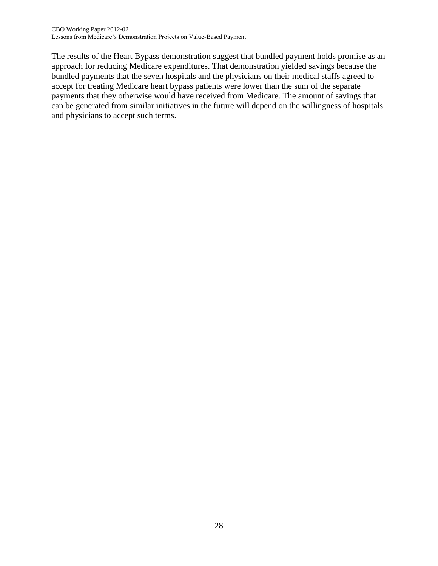The results of the Heart Bypass demonstration suggest that bundled payment holds promise as an approach for reducing Medicare expenditures. That demonstration yielded savings because the bundled payments that the seven hospitals and the physicians on their medical staffs agreed to accept for treating Medicare heart bypass patients were lower than the sum of the separate payments that they otherwise would have received from Medicare. The amount of savings that can be generated from similar initiatives in the future will depend on the willingness of hospitals and physicians to accept such terms.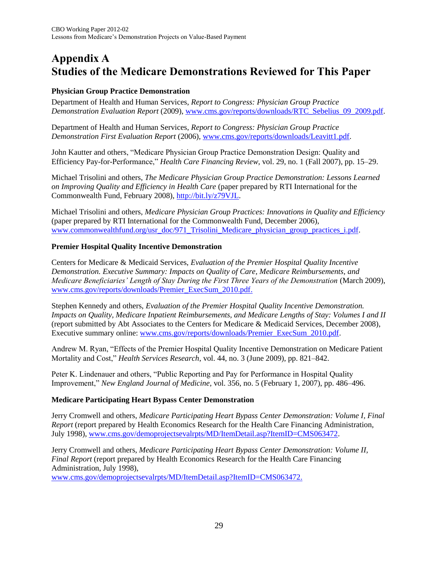# **Appendix A Studies of the Medicare Demonstrations Reviewed for This Paper**

### **Physician Group Practice Demonstration**

Department of Health and Human Services, *Report to Congress: Physician Group Practice Demonstration Evaluation Report* (2009), [www.cms.gov/reports/downloads/RTC\\_Sebelius\\_09\\_2009.pdf.](https://www.cms.gov/reports/downloads/RTC_Sebelius_09_2009.pdf)

Department of Health and Human Services, *Report to Congress: Physician Group Practice Demonstration First Evaluation Report* (2006), [www.cms.gov/reports/downloads/Leavitt1.pdf.](https://www.cms.gov/reports/downloads/Leavitt1.pdf)

John Kautter and others, "Medicare Physician Group Practice Demonstration Design: Quality and Efficiency Pay-for-Performance," *Health Care Financing Review*, vol. 29, no. 1 (Fall 2007), pp. 15–29.

Michael Trisolini and others, *The Medicare Physician Group Practice Demonstration: Lessons Learned on Improving Quality and Efficiency in Health Care* (paper prepared by RTI International for the Commonwealth Fund, February 2008), [http://bit.ly/z79VJL.](http://bit.ly/z79VJL)

Michael Trisolini and others, *Medicare Physician Group Practices: Innovations in Quality and Efficiency* (paper prepared by RTI International for the Commonwealth Fund, December 2006), [www.commonwealthfund.org/usr\\_doc/971\\_Trisolini\\_Medicare\\_physician\\_group\\_practices\\_i.pdf.](http://www.commonwealthfund.org/usr_doc/971_Trisolini_Medicare_physician_group_practices_i.pdf)

### **Premier Hospital Quality Incentive Demonstration**

Centers for Medicare & Medicaid Services, *Evaluation of the Premier Hospital Quality Incentive Demonstration. Executive Summary: Impacts on Quality of Care, Medicare Reimbursements, and Medicare Beneficiaries' Length of Stay During the First Three Years of the Demonstration* (March 2009), [www.cms.gov/reports/downloads/Premier\\_ExecSum\\_2010.pdf.](http://www.cms.gov/reports/downloads/Premier_ExecSum_2010.pdf)

Stephen Kennedy and others, *Evaluation of the Premier Hospital Quality Incentive Demonstration. Impacts on Quality, Medicare Inpatient Reimbursements, and Medicare Lengths of Stay: Volumes I and II* (report submitted by Abt Associates to the Centers for Medicare & Medicaid Services, December 2008), Executive summary online[: www.cms.gov/reports/downloads/Premier\\_ExecSum\\_2010.pdf.](http://www.cms.gov/reports/downloads/Premier_ExecSum_2010.pdf)

Andrew M. Ryan, "Effects of the Premier Hospital Quality Incentive Demonstration on Medicare Patient Mortality and Cost," *Health Services Research*, vol. 44, no. 3 (June 2009), pp. 821–842.

Peter K. Lindenauer and others, "Public Reporting and Pay for Performance in Hospital Quality Improvement," *New England Journal of Medicine*, vol. 356, no. 5 (February 1, 2007), pp. 486–496.

### **Medicare Participating Heart Bypass Center Demonstration**

Jerry Cromwell and others, *Medicare Participating Heart Bypass Center Demonstration: Volume I, Final Report* (report prepared by Health Economics Research for the Health Care Financing Administration, July 1998), [www.cms.gov/demoprojectsevalrpts/MD/ItemDetail.asp?ItemID=CMS063472.](http://www.cms.gov/demoprojectsevalrpts/MD/ItemDetail.asp?ItemID=CMS063472)

Jerry Cromwell and others, *Medicare Participating Heart Bypass Center Demonstration: Volume II, Final Report* (report prepared by Health Economics Research for the Health Care Financing Administration, July 1998), [www.cms.gov/demoprojectsevalrpts/MD/ItemDetail.asp?ItemID=CMS063472.](http://www.cms.gov/demoprojectsevalrpts/MD/ItemDetail.asp?ItemID=CMS063472)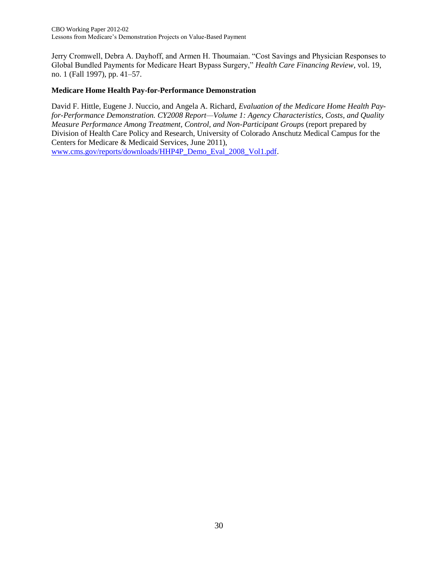Jerry Cromwell, Debra A. Dayhoff, and Armen H. Thoumaian. "Cost Savings and Physician Responses to Global Bundled Payments for Medicare Heart Bypass Surgery," *Health Care Financing Review*, vol. 19, no. 1 (Fall 1997), pp. 41–57.

### **Medicare Home Health Pay-for-Performance Demonstration**

David F. Hittle, Eugene J. Nuccio, and Angela A. Richard, *Evaluation of the Medicare Home Health Payfor-Performance Demonstration. CY2008 Report—Volume 1: Agency Characteristics, Costs, and Quality Measure Performance Among Treatment, Control, and Non-Participant Groups* (report prepared by Division of Health Care Policy and Research, University of Colorado Anschutz Medical Campus for the Centers for Medicare & Medicaid Services, June 2011), [www.cms.gov/reports/downloads/HHP4P\\_Demo\\_Eval\\_2008\\_Vol1.pdf.](https://www.cms.gov/reports/downloads/HHP4P_Demo_Eval_2008_Vol1.pdf)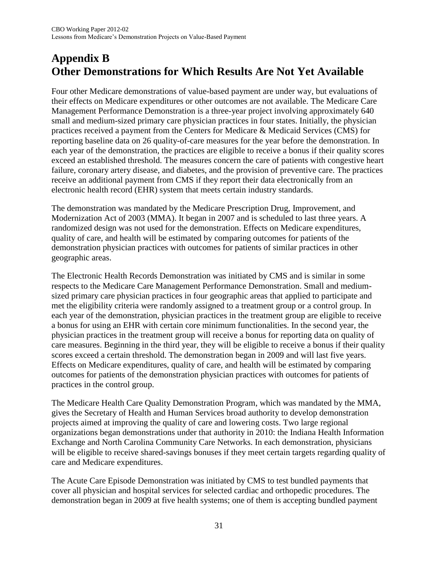# **Appendix B Other Demonstrations for Which Results Are Not Yet Available**

Four other Medicare demonstrations of value-based payment are under way, but evaluations of their effects on Medicare expenditures or other outcomes are not available. The Medicare Care Management Performance Demonstration is a three-year project involving approximately 640 small and medium-sized primary care physician practices in four states. Initially, the physician practices received a payment from the Centers for Medicare & Medicaid Services (CMS) for reporting baseline data on 26 quality-of-care measures for the year before the demonstration. In each year of the demonstration, the practices are eligible to receive a bonus if their quality scores exceed an established threshold. The measures concern the care of patients with congestive heart failure, coronary artery disease, and diabetes, and the provision of preventive care. The practices receive an additional payment from CMS if they report their data electronically from an electronic health record (EHR) system that meets certain industry standards.

The demonstration was mandated by the Medicare Prescription Drug, Improvement, and Modernization Act of 2003 (MMA). It began in 2007 and is scheduled to last three years. A randomized design was not used for the demonstration. Effects on Medicare expenditures, quality of care, and health will be estimated by comparing outcomes for patients of the demonstration physician practices with outcomes for patients of similar practices in other geographic areas.

The Electronic Health Records Demonstration was initiated by CMS and is similar in some respects to the Medicare Care Management Performance Demonstration. Small and mediumsized primary care physician practices in four geographic areas that applied to participate and met the eligibility criteria were randomly assigned to a treatment group or a control group. In each year of the demonstration, physician practices in the treatment group are eligible to receive a bonus for using an EHR with certain core minimum functionalities. In the second year, the physician practices in the treatment group will receive a bonus for reporting data on quality of care measures. Beginning in the third year, they will be eligible to receive a bonus if their quality scores exceed a certain threshold. The demonstration began in 2009 and will last five years. Effects on Medicare expenditures, quality of care, and health will be estimated by comparing outcomes for patients of the demonstration physician practices with outcomes for patients of practices in the control group.

The Medicare Health Care Quality Demonstration Program, which was mandated by the MMA, gives the Secretary of Health and Human Services broad authority to develop demonstration projects aimed at improving the quality of care and lowering costs. Two large regional organizations began demonstrations under that authority in 2010: the Indiana Health Information Exchange and North Carolina Community Care Networks. In each demonstration, physicians will be eligible to receive shared-savings bonuses if they meet certain targets regarding quality of care and Medicare expenditures.

The Acute Care Episode Demonstration was initiated by CMS to test bundled payments that cover all physician and hospital services for selected cardiac and orthopedic procedures. The demonstration began in 2009 at five health systems; one of them is accepting bundled payment